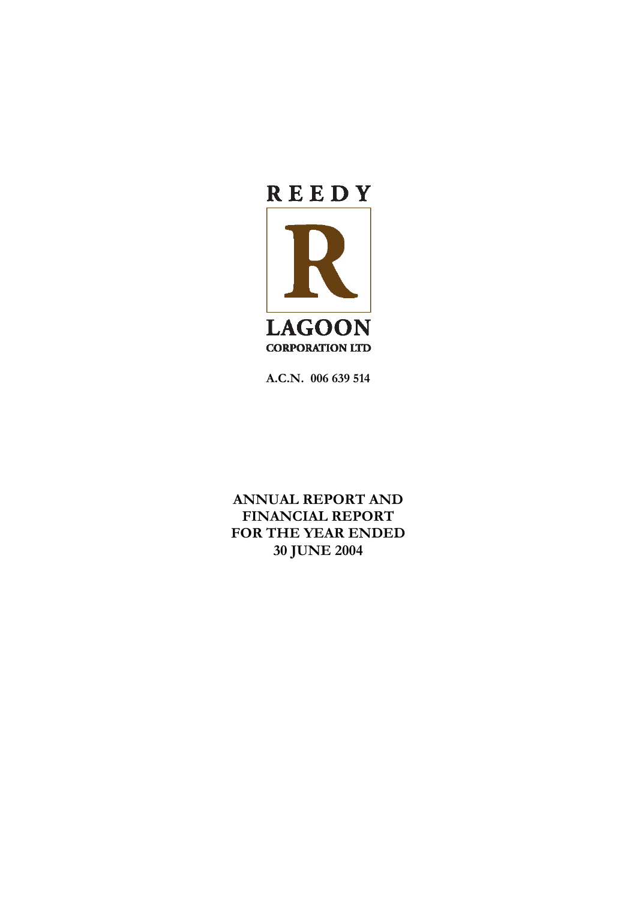

**A.C.N. 006 639 514** 

**ANNUAL REPORT AND FINANCIAL REPORT FOR THE YEAR ENDED 30 JUNE 2004**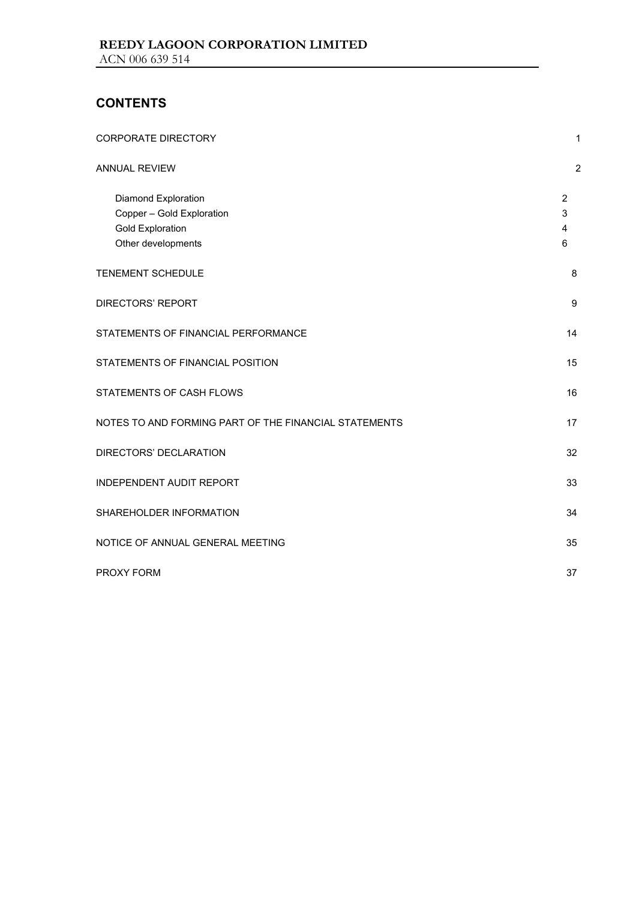## **CONTENTS**

| <b>CORPORATE DIRECTORY</b>                                                                        | $\mathbf{1}$                  |
|---------------------------------------------------------------------------------------------------|-------------------------------|
| ANNUAL REVIEW                                                                                     | $\overline{2}$                |
| Diamond Exploration<br>Copper - Gold Exploration<br><b>Gold Exploration</b><br>Other developments | $\overline{2}$<br>3<br>4<br>6 |
| <b>TENEMENT SCHEDULE</b>                                                                          | 8                             |
| DIRECTORS' REPORT                                                                                 | 9                             |
| STATEMENTS OF FINANCIAL PERFORMANCE                                                               | 14                            |
| STATEMENTS OF FINANCIAL POSITION                                                                  | 15                            |
| STATEMENTS OF CASH FLOWS                                                                          | 16                            |
| NOTES TO AND FORMING PART OF THE FINANCIAL STATEMENTS                                             | 17                            |
| DIRECTORS' DECLARATION                                                                            | 32                            |
| <b>INDEPENDENT AUDIT REPORT</b>                                                                   | 33                            |
| SHAREHOLDER INFORMATION                                                                           | 34                            |
| NOTICE OF ANNUAL GENERAL MEETING                                                                  | 35                            |
| <b>PROXY FORM</b>                                                                                 | 37                            |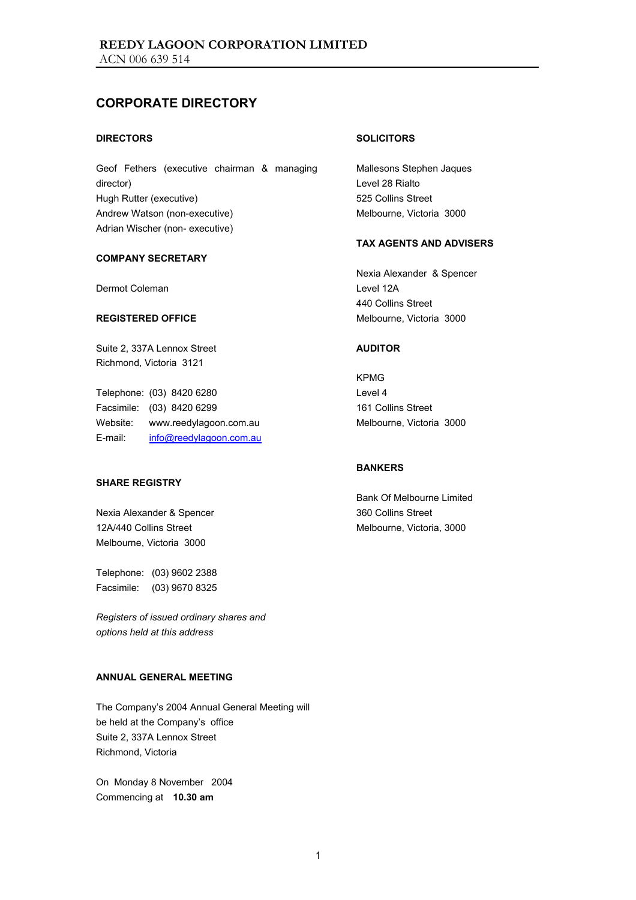## **CORPORATE DIRECTORY**

#### **DIRECTORS**

Geof Fethers (executive chairman & managing director) Hugh Rutter (executive) Andrew Watson (non-executive) Adrian Wischer (non- executive)

#### **COMPANY SECRETARY**

Dermot Coleman

#### **REGISTERED OFFICE**

Suite 2, 337A Lennox Street Richmond, Victoria 3121

Telephone: (03) 8420 6280 Facsimile: (03) 8420 6299 Website: www.reedylagoon.com.au E-mail: info@reedylagoon.com.au

#### **SHARE REGISTRY**

Nexia Alexander & Spencer 12A/440 Collins Street Melbourne, Victoria 3000

Telephone: (03) 9602 2388 Facsimile: (03) 9670 8325

*Registers of issued ordinary shares and options held at this address* 

#### **ANNUAL GENERAL MEETING**

The Company's 2004 Annual General Meeting will be held at the Company's office Suite 2, 337A Lennox Street Richmond, Victoria

On Monday 8 November 2004 Commencing at **10.30 am**

#### **SOLICITORS**

Mallesons Stephen Jaques Level 28 Rialto 525 Collins Street Melbourne, Victoria 3000

#### **TAX AGENTS AND ADVISERS**

Nexia Alexander & Spencer Level 12A 440 Collins Street Melbourne, Victoria 3000

#### **AUDITOR**

KPMG Level 4 161 Collins Street Melbourne, Victoria 3000

#### **BANKERS**

Bank Of Melbourne Limited 360 Collins Street Melbourne, Victoria, 3000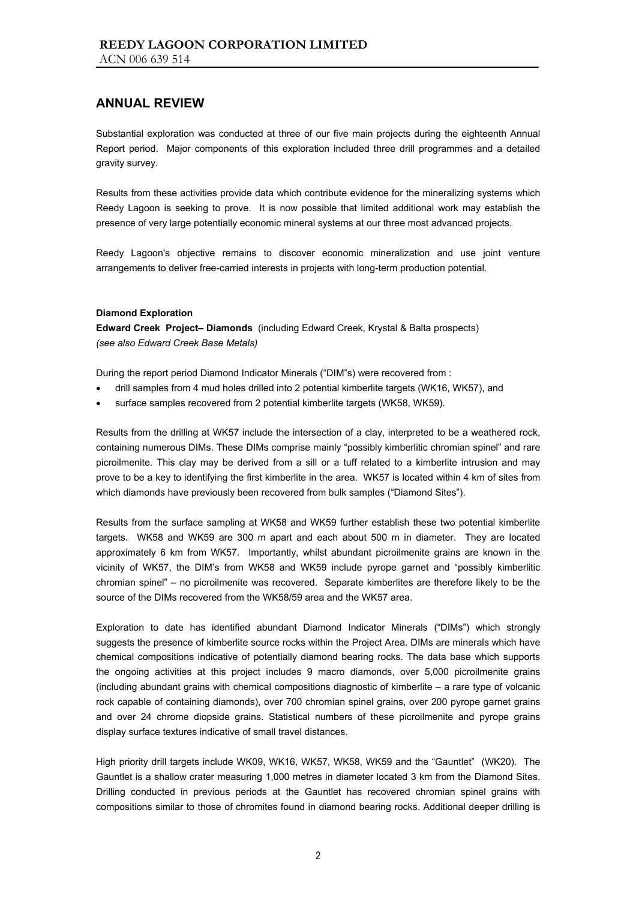Substantial exploration was conducted at three of our five main projects during the eighteenth Annual Report period. Major components of this exploration included three drill programmes and a detailed gravity survey.

Results from these activities provide data which contribute evidence for the mineralizing systems which Reedy Lagoon is seeking to prove. It is now possible that limited additional work may establish the presence of very large potentially economic mineral systems at our three most advanced projects.

Reedy Lagoon's objective remains to discover economic mineralization and use joint venture arrangements to deliver free-carried interests in projects with long-term production potential.

#### **Diamond Exploration**

**Edward Creek Project– Diamonds** (including Edward Creek, Krystal & Balta prospects) *(see also Edward Creek Base Metals)* 

During the report period Diamond Indicator Minerals ("DIM"s) were recovered from :

- drill samples from 4 mud holes drilled into 2 potential kimberlite targets (WK16, WK57), and
- surface samples recovered from 2 potential kimberlite targets (WK58, WK59).

Results from the drilling at WK57 include the intersection of a clay, interpreted to be a weathered rock, containing numerous DIMs. These DIMs comprise mainly "possibly kimberlitic chromian spinel" and rare picroilmenite. This clay may be derived from a sill or a tuff related to a kimberlite intrusion and may prove to be a key to identifying the first kimberlite in the area. WK57 is located within 4 km of sites from which diamonds have previously been recovered from bulk samples ("Diamond Sites").

Results from the surface sampling at WK58 and WK59 further establish these two potential kimberlite targets. WK58 and WK59 are 300 m apart and each about 500 m in diameter. They are located approximately 6 km from WK57. Importantly, whilst abundant picroilmenite grains are known in the vicinity of WK57, the DIM's from WK58 and WK59 include pyrope garnet and "possibly kimberlitic chromian spinel" – no picroilmenite was recovered. Separate kimberlites are therefore likely to be the source of the DIMs recovered from the WK58/59 area and the WK57 area.

Exploration to date has identified abundant Diamond Indicator Minerals ("DIMs") which strongly suggests the presence of kimberlite source rocks within the Project Area. DIMs are minerals which have chemical compositions indicative of potentially diamond bearing rocks. The data base which supports the ongoing activities at this project includes 9 macro diamonds, over 5,000 picroilmenite grains (including abundant grains with chemical compositions diagnostic of kimberlite – a rare type of volcanic rock capable of containing diamonds), over 700 chromian spinel grains, over 200 pyrope garnet grains and over 24 chrome diopside grains. Statistical numbers of these picroilmenite and pyrope grains display surface textures indicative of small travel distances.

High priority drill targets include WK09, WK16, WK57, WK58, WK59 and the "Gauntlet" (WK20). The Gauntlet is a shallow crater measuring 1,000 metres in diameter located 3 km from the Diamond Sites. Drilling conducted in previous periods at the Gauntlet has recovered chromian spinel grains with compositions similar to those of chromites found in diamond bearing rocks. Additional deeper drilling is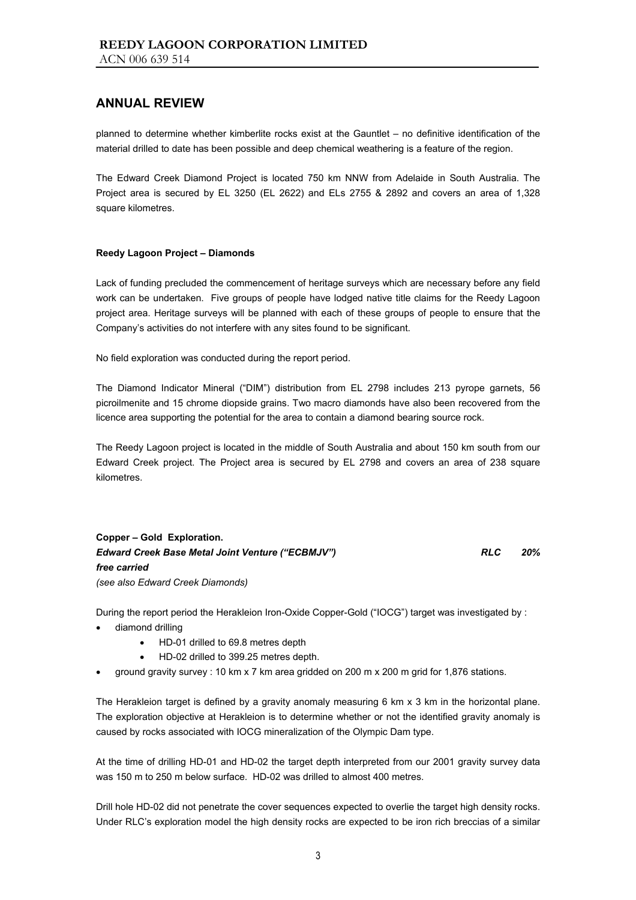planned to determine whether kimberlite rocks exist at the Gauntlet – no definitive identification of the material drilled to date has been possible and deep chemical weathering is a feature of the region.

The Edward Creek Diamond Project is located 750 km NNW from Adelaide in South Australia. The Project area is secured by EL 3250 (EL 2622) and ELs 2755 & 2892 and covers an area of 1,328 square kilometres.

#### **Reedy Lagoon Project – Diamonds**

Lack of funding precluded the commencement of heritage surveys which are necessary before any field work can be undertaken. Five groups of people have lodged native title claims for the Reedy Lagoon project area. Heritage surveys will be planned with each of these groups of people to ensure that the Company's activities do not interfere with any sites found to be significant.

No field exploration was conducted during the report period.

The Diamond Indicator Mineral ("DIM") distribution from EL 2798 includes 213 pyrope garnets, 56 picroilmenite and 15 chrome diopside grains. Two macro diamonds have also been recovered from the licence area supporting the potential for the area to contain a diamond bearing source rock.

The Reedy Lagoon project is located in the middle of South Australia and about 150 km south from our Edward Creek project. The Project area is secured by EL 2798 and covers an area of 238 square kilometres.

**Copper – Gold Exploration.**  *Edward Creek Base Metal Joint Venture ("ECBMJV") RLC 20% free carried (see also Edward Creek Diamonds)* 

During the report period the Herakleion Iron-Oxide Copper-Gold ("IOCG") target was investigated by :

- diamond drilling
	- HD-01 drilled to 69.8 metres depth
	- HD-02 drilled to 399.25 metres depth.
- ground gravity survey : 10 km x 7 km area gridded on 200 m x 200 m grid for 1,876 stations.

The Herakleion target is defined by a gravity anomaly measuring 6 km x 3 km in the horizontal plane. The exploration objective at Herakleion is to determine whether or not the identified gravity anomaly is caused by rocks associated with IOCG mineralization of the Olympic Dam type.

At the time of drilling HD-01 and HD-02 the target depth interpreted from our 2001 gravity survey data was 150 m to 250 m below surface. HD-02 was drilled to almost 400 metres.

Drill hole HD-02 did not penetrate the cover sequences expected to overlie the target high density rocks. Under RLC's exploration model the high density rocks are expected to be iron rich breccias of a similar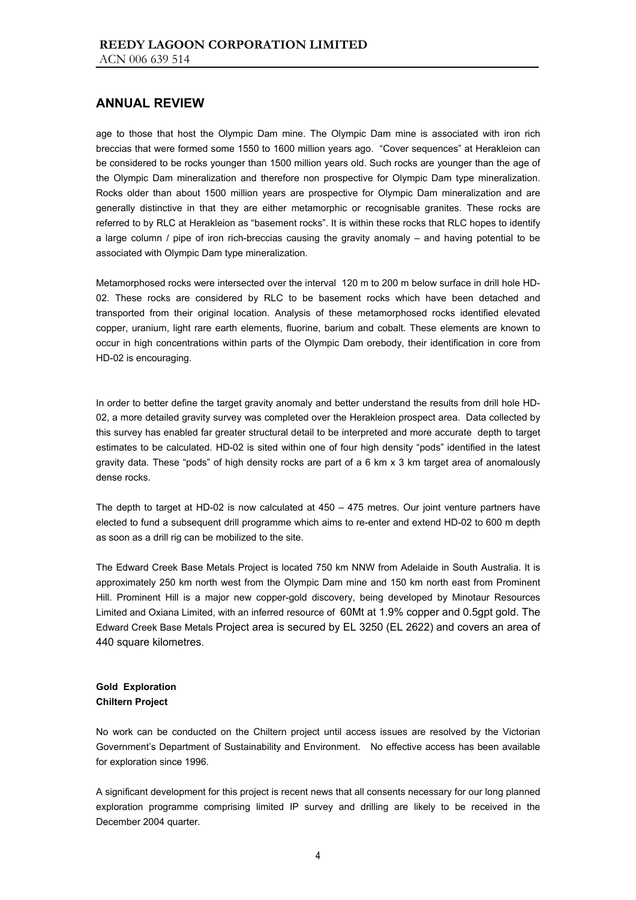age to those that host the Olympic Dam mine. The Olympic Dam mine is associated with iron rich breccias that were formed some 1550 to 1600 million years ago. "Cover sequences" at Herakleion can be considered to be rocks younger than 1500 million years old. Such rocks are younger than the age of the Olympic Dam mineralization and therefore non prospective for Olympic Dam type mineralization. Rocks older than about 1500 million years are prospective for Olympic Dam mineralization and are generally distinctive in that they are either metamorphic or recognisable granites. These rocks are referred to by RLC at Herakleion as "basement rocks". It is within these rocks that RLC hopes to identify a large column / pipe of iron rich-breccias causing the gravity anomaly – and having potential to be associated with Olympic Dam type mineralization.

Metamorphosed rocks were intersected over the interval 120 m to 200 m below surface in drill hole HD-02. These rocks are considered by RLC to be basement rocks which have been detached and transported from their original location. Analysis of these metamorphosed rocks identified elevated copper, uranium, light rare earth elements, fluorine, barium and cobalt. These elements are known to occur in high concentrations within parts of the Olympic Dam orebody, their identification in core from HD-02 is encouraging.

In order to better define the target gravity anomaly and better understand the results from drill hole HD-02, a more detailed gravity survey was completed over the Herakleion prospect area. Data collected by this survey has enabled far greater structural detail to be interpreted and more accurate depth to target estimates to be calculated. HD-02 is sited within one of four high density "pods" identified in the latest gravity data. These "pods" of high density rocks are part of a 6 km x 3 km target area of anomalously dense rocks.

The depth to target at HD-02 is now calculated at 450 – 475 metres. Our joint venture partners have elected to fund a subsequent drill programme which aims to re-enter and extend HD-02 to 600 m depth as soon as a drill rig can be mobilized to the site.

The Edward Creek Base Metals Project is located 750 km NNW from Adelaide in South Australia. It is approximately 250 km north west from the Olympic Dam mine and 150 km north east from Prominent Hill. Prominent Hill is a major new copper-gold discovery, being developed by Minotaur Resources Limited and Oxiana Limited, with an inferred resource of 60Mt at 1.9% copper and 0.5gpt gold. The Edward Creek Base Metals Project area is secured by EL 3250 (EL 2622) and covers an area of 440 square kilometres.

#### **Gold Exploration Chiltern Project**

No work can be conducted on the Chiltern project until access issues are resolved by the Victorian Government's Department of Sustainability and Environment. No effective access has been available for exploration since 1996.

A significant development for this project is recent news that all consents necessary for our long planned exploration programme comprising limited IP survey and drilling are likely to be received in the December 2004 quarter.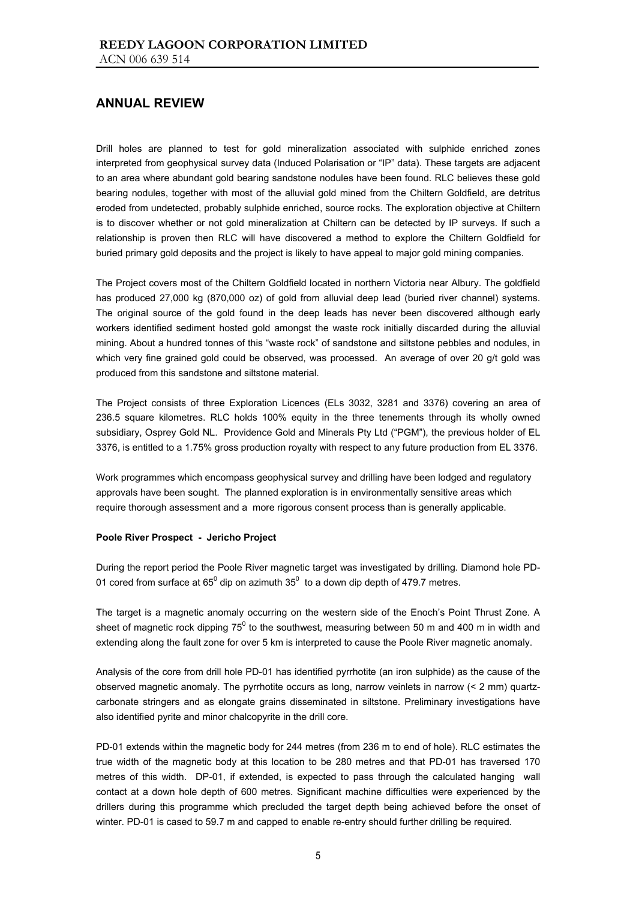Drill holes are planned to test for gold mineralization associated with sulphide enriched zones interpreted from geophysical survey data (Induced Polarisation or "IP" data). These targets are adjacent to an area where abundant gold bearing sandstone nodules have been found. RLC believes these gold bearing nodules, together with most of the alluvial gold mined from the Chiltern Goldfield, are detritus eroded from undetected, probably sulphide enriched, source rocks. The exploration objective at Chiltern is to discover whether or not gold mineralization at Chiltern can be detected by IP surveys. If such a relationship is proven then RLC will have discovered a method to explore the Chiltern Goldfield for buried primary gold deposits and the project is likely to have appeal to major gold mining companies.

The Project covers most of the Chiltern Goldfield located in northern Victoria near Albury. The goldfield has produced 27,000 kg (870,000 oz) of gold from alluvial deep lead (buried river channel) systems. The original source of the gold found in the deep leads has never been discovered although early workers identified sediment hosted gold amongst the waste rock initially discarded during the alluvial mining. About a hundred tonnes of this "waste rock" of sandstone and siltstone pebbles and nodules, in which very fine grained gold could be observed, was processed. An average of over 20 g/t gold was produced from this sandstone and siltstone material.

The Project consists of three Exploration Licences (ELs 3032, 3281 and 3376) covering an area of 236.5 square kilometres. RLC holds 100% equity in the three tenements through its wholly owned subsidiary, Osprey Gold NL. Providence Gold and Minerals Pty Ltd ("PGM"), the previous holder of EL 3376, is entitled to a 1.75% gross production royalty with respect to any future production from EL 3376.

Work programmes which encompass geophysical survey and drilling have been lodged and regulatory approvals have been sought. The planned exploration is in environmentally sensitive areas which require thorough assessment and a more rigorous consent process than is generally applicable.

#### **Poole River Prospect - Jericho Project**

During the report period the Poole River magnetic target was investigated by drilling. Diamond hole PD-01 cored from surface at 65<sup>0</sup> dip on azimuth 35<sup>0</sup> to a down dip depth of 479.7 metres.

The target is a magnetic anomaly occurring on the western side of the Enoch's Point Thrust Zone. A sheet of magnetic rock dipping 75<sup>0</sup> to the southwest, measuring between 50 m and 400 m in width and extending along the fault zone for over 5 km is interpreted to cause the Poole River magnetic anomaly.

Analysis of the core from drill hole PD-01 has identified pyrrhotite (an iron sulphide) as the cause of the observed magnetic anomaly. The pyrrhotite occurs as long, narrow veinlets in narrow (< 2 mm) quartzcarbonate stringers and as elongate grains disseminated in siltstone. Preliminary investigations have also identified pyrite and minor chalcopyrite in the drill core.

PD-01 extends within the magnetic body for 244 metres (from 236 m to end of hole). RLC estimates the true width of the magnetic body at this location to be 280 metres and that PD-01 has traversed 170 metres of this width. DP-01, if extended, is expected to pass through the calculated hanging wall contact at a down hole depth of 600 metres. Significant machine difficulties were experienced by the drillers during this programme which precluded the target depth being achieved before the onset of winter. PD-01 is cased to 59.7 m and capped to enable re-entry should further drilling be required.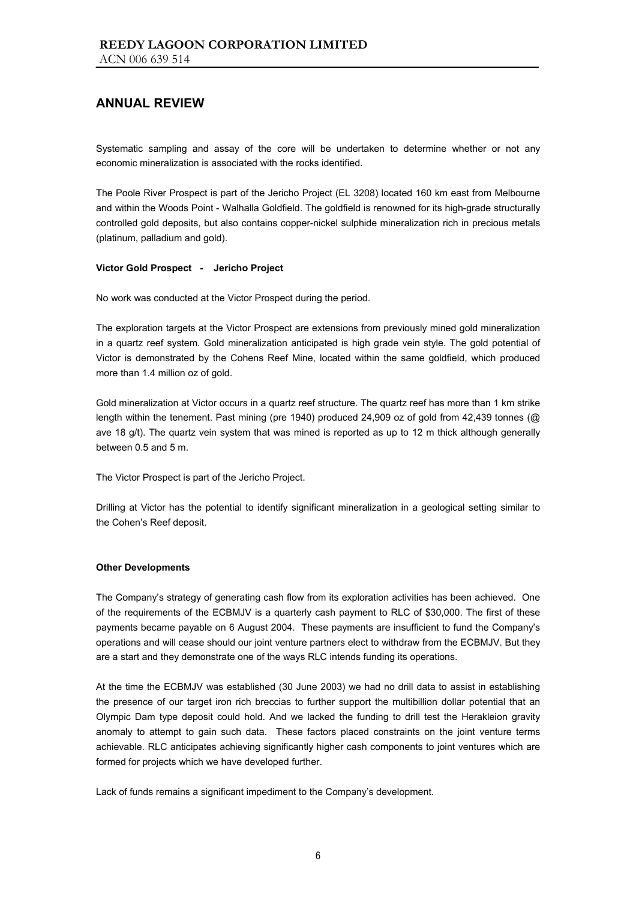Systematic sampling and assay of the core will be undertaken to determine whether or not any economic mineralization is associated with the rocks identified.

The Poole River Prospect is part of the Jericho Project (EL 3208) located 160 km east from Melbourne and within the Woods Point - Walhalla Goldfield. The goldfield is renowned for its high-grade structurally controlled gold deposits, but also contains copper-nickel sulphide mineralization rich in precious metals (platinum, palladium and gold).

#### **Victor Gold Prospect - Jericho Project**

No work was conducted at the Victor Prospect during the period.

The exploration targets at the Victor Prospect are extensions from previously mined gold mineralization in a quartz reef system. Gold mineralization anticipated is high grade vein style. The gold potential of Victor is demonstrated by the Cohens Reef Mine, located within the same goldfield, which produced more than 1.4 million oz of gold.

Gold mineralization at Victor occurs in a quartz reef structure. The quartz reef has more than 1 km strike length within the tenement. Past mining (pre 1940) produced 24,909 oz of gold from 42,439 tonnes (@ ave 18 g/t). The quartz vein system that was mined is reported as up to 12 m thick although generally between 0.5 and 5 m.

The Victor Prospect is part of the Jericho Project.

Drilling at Victor has the potential to identify significant mineralization in a geological setting similar to the Cohen's Reef deposit.

#### **Other Developments**

The Company's strategy of generating cash flow from its exploration activities has been achieved. One of the requirements of the ECBMJV is a quarterly cash payment to RLC of \$30,000. The first of these payments became payable on 6 August 2004. These payments are insufficient to fund the Company's operations and will cease should our joint venture partners elect to withdraw from the ECBMJV. But they are a start and they demonstrate one of the ways RLC intends funding its operations.

At the time the ECBMJV was established (30 June 2003) we had no drill data to assist in establishing the presence of our target iron rich breccias to further support the multibillion dollar potential that an Olympic Dam type deposit could hold. And we lacked the funding to drill test the Herakleion gravity anomaly to attempt to gain such data. These factors placed constraints on the joint venture terms achievable. RLC anticipates achieving significantly higher cash components to joint ventures which are formed for projects which we have developed further.

Lack of funds remains a significant impediment to the Company's development.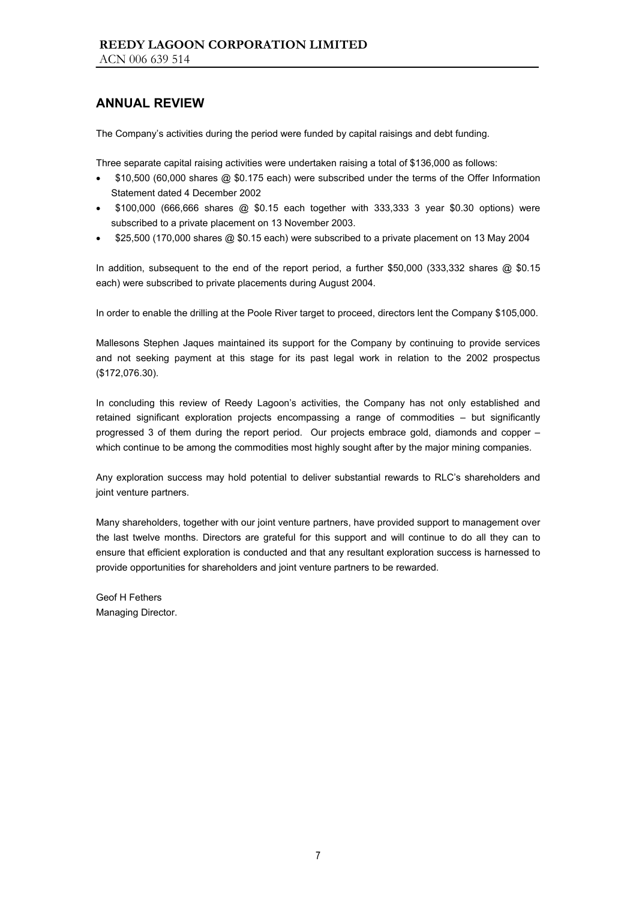The Company's activities during the period were funded by capital raisings and debt funding.

Three separate capital raising activities were undertaken raising a total of \$136,000 as follows:

- \$10,500 (60,000 shares @ \$0.175 each) were subscribed under the terms of the Offer Information Statement dated 4 December 2002
- \$100,000 (666,666 shares @ \$0.15 each together with 333,333 3 year \$0.30 options) were subscribed to a private placement on 13 November 2003.
- \$25,500 (170,000 shares @ \$0.15 each) were subscribed to a private placement on 13 May 2004

In addition, subsequent to the end of the report period, a further \$50,000 (333,332 shares @ \$0.15 each) were subscribed to private placements during August 2004.

In order to enable the drilling at the Poole River target to proceed, directors lent the Company \$105,000.

Mallesons Stephen Jaques maintained its support for the Company by continuing to provide services and not seeking payment at this stage for its past legal work in relation to the 2002 prospectus (\$172,076.30).

In concluding this review of Reedy Lagoon's activities, the Company has not only established and retained significant exploration projects encompassing a range of commodities – but significantly progressed 3 of them during the report period. Our projects embrace gold, diamonds and copper – which continue to be among the commodities most highly sought after by the major mining companies.

Any exploration success may hold potential to deliver substantial rewards to RLC's shareholders and joint venture partners.

Many shareholders, together with our joint venture partners, have provided support to management over the last twelve months. Directors are grateful for this support and will continue to do all they can to ensure that efficient exploration is conducted and that any resultant exploration success is harnessed to provide opportunities for shareholders and joint venture partners to be rewarded.

Geof H Fethers Managing Director.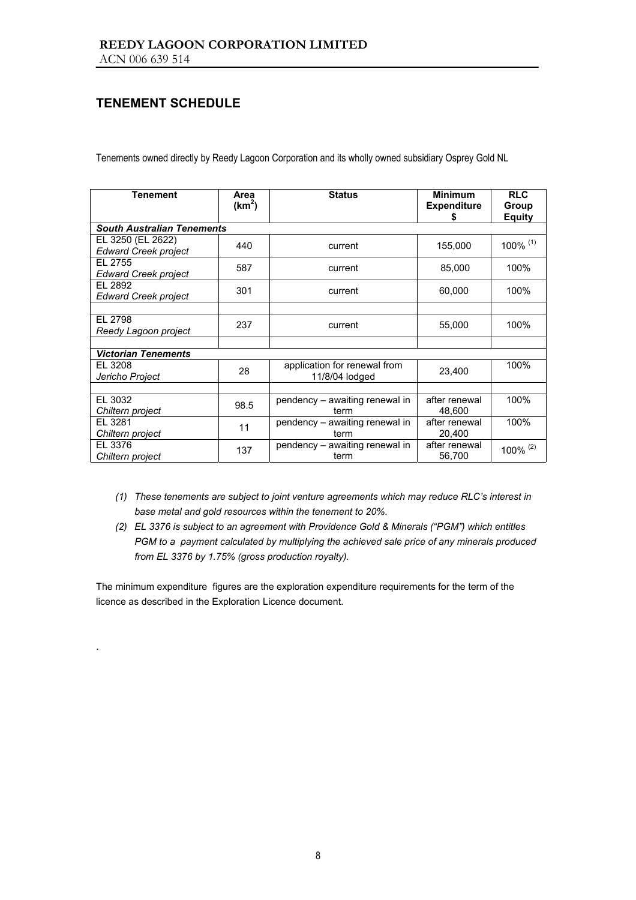## **TENEMENT SCHEDULE**

.

Tenements owned directly by Reedy Lagoon Corporation and its wholly owned subsidiary Osprey Gold NL

| <b>Tenement</b>                                  | Area<br>(km <sup>2</sup> ) | <b>Status</b>                                  | <b>Minimum</b><br><b>Expenditure</b><br>S | <b>RLC</b><br>Group<br><b>Equity</b> |
|--------------------------------------------------|----------------------------|------------------------------------------------|-------------------------------------------|--------------------------------------|
| <b>South Australian Tenements</b>                |                            |                                                |                                           |                                      |
| EL 3250 (EL 2622)<br><b>Edward Creek project</b> | 440                        | current                                        | 155,000                                   | 100% (1)                             |
| EL 2755<br><b>Edward Creek project</b>           | 587                        | current                                        | 85,000                                    | 100%                                 |
| EL 2892<br><b>Edward Creek project</b>           | 301                        | current                                        | 60,000                                    | 100%                                 |
|                                                  |                            |                                                |                                           |                                      |
| EL 2798<br>Reedy Lagoon project                  | 237                        | current                                        | 55,000                                    | 100%                                 |
|                                                  |                            |                                                |                                           |                                      |
| <b>Victorian Tenements</b>                       |                            |                                                |                                           |                                      |
| EL 3208<br>Jericho Project                       | 28                         | application for renewal from<br>11/8/04 lodged | 23,400                                    | 100%                                 |
|                                                  |                            |                                                |                                           |                                      |
| EL 3032<br>Chiltern project                      | 98.5                       | pendency - awaiting renewal in<br>term         | after renewal<br>48,600                   | 100%                                 |
| EL 3281<br>Chiltern project                      | 11                         | pendency - awaiting renewal in<br>term         | after renewal<br>20,400                   | 100%                                 |
| EL 3376<br>Chiltern project                      | 137                        | pendency - awaiting renewal in<br>term         | after renewal<br>56,700                   | 100% (2)                             |

- *(1) These tenements are subject to joint venture agreements which may reduce RLC's interest in base metal and gold resources within the tenement to 20%.*
- *(2) EL 3376 is subject to an agreement with Providence Gold & Minerals ("PGM") which entitles PGM to a payment calculated by multiplying the achieved sale price of any minerals produced from EL 3376 by 1.75% (gross production royalty).*

The minimum expenditure figures are the exploration expenditure requirements for the term of the licence as described in the Exploration Licence document.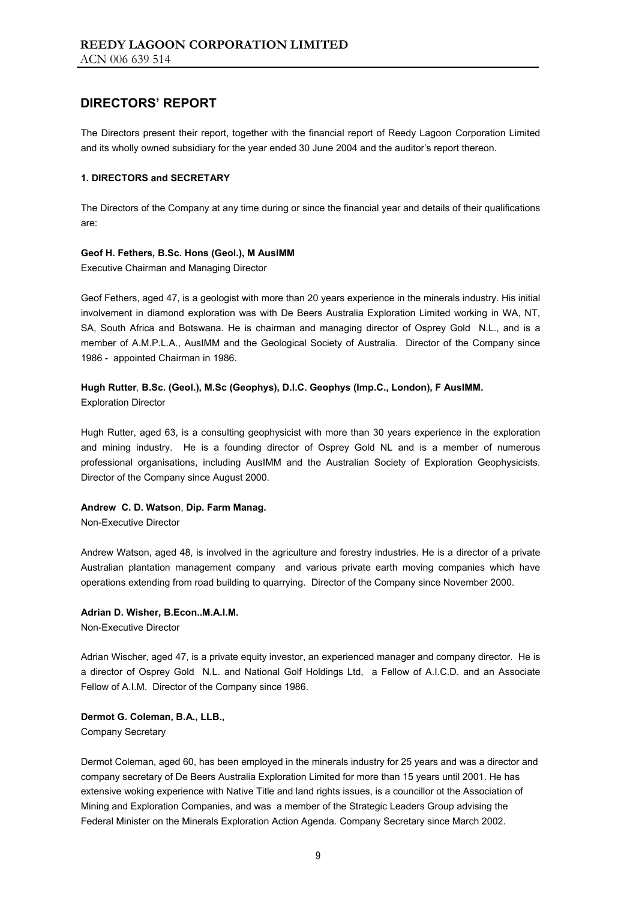The Directors present their report, together with the financial report of Reedy Lagoon Corporation Limited and its wholly owned subsidiary for the year ended 30 June 2004 and the auditor's report thereon.

#### **1. DIRECTORS and SECRETARY**

The Directors of the Company at any time during or since the financial year and details of their qualifications are:

#### **Geof H. Fethers***,* **B.Sc. Hons (Geol.), M AusIMM**

Executive Chairman and Managing Director

Geof Fethers, aged 47, is a geologist with more than 20 years experience in the minerals industry. His initial involvement in diamond exploration was with De Beers Australia Exploration Limited working in WA, NT, SA, South Africa and Botswana. He is chairman and managing director of Osprey Gold N.L., and is a member of A.M.P.L.A., AusIMM and the Geological Society of Australia. Director of the Company since 1986 - appointed Chairman in 1986.

# **Hugh Rutter***,* **B.Sc. (Geol.), M.Sc (Geophys), D.I.C. Geophys (Imp.C., London), F AusIMM.**

Exploration Director

Hugh Rutter, aged 63, is a consulting geophysicist with more than 30 years experience in the exploration and mining industry. He is a founding director of Osprey Gold NL and is a member of numerous professional organisations, including AusIMM and the Australian Society of Exploration Geophysicists. Director of the Company since August 2000.

#### **Andrew C. D. Watson**, **Dip. Farm Manag.**

Non-Executive Director

Andrew Watson, aged 48, is involved in the agriculture and forestry industries. He is a director of a private Australian plantation management company and various private earth moving companies which have operations extending from road building to quarrying. Director of the Company since November 2000.

#### **Adrian D. Wisher, B.Econ..M.A.I.M.**

Non-Executive Director

Adrian Wischer, aged 47, is a private equity investor, an experienced manager and company director. He is a director of Osprey Gold N.L. and National Golf Holdings Ltd, a Fellow of A.I.C.D. and an Associate Fellow of A.I.M. Director of the Company since 1986.

#### **Dermot G. Coleman, B.A., LLB.,**

Company Secretary

Dermot Coleman, aged 60, has been employed in the minerals industry for 25 years and was a director and company secretary of De Beers Australia Exploration Limited for more than 15 years until 2001. He has extensive woking experience with Native Title and land rights issues, is a councillor ot the Association of Mining and Exploration Companies, and was a member of the Strategic Leaders Group advising the Federal Minister on the Minerals Exploration Action Agenda. Company Secretary since March 2002.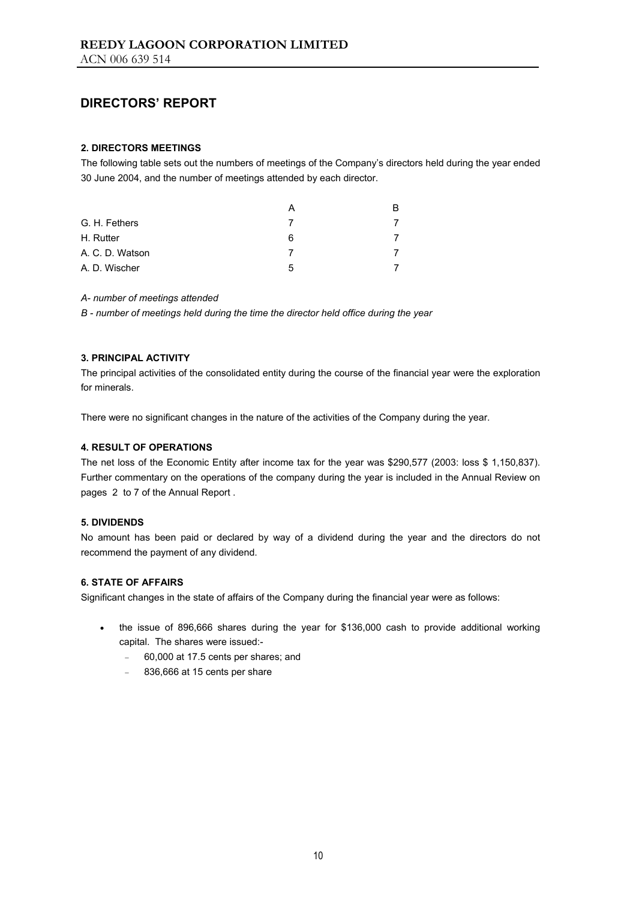#### **2. DIRECTORS MEETINGS**

The following table sets out the numbers of meetings of the Company's directors held during the year ended 30 June 2004, and the number of meetings attended by each director.

|                 |   | в |
|-----------------|---|---|
| G. H. Fethers   |   |   |
| H. Rutter       | 6 |   |
| A. C. D. Watson |   |   |
| A. D. Wischer   | 5 |   |

#### *A- number of meetings attended*

*B - number of meetings held during the time the director held office during the year* 

#### **3. PRINCIPAL ACTIVITY**

The principal activities of the consolidated entity during the course of the financial year were the exploration for minerals.

There were no significant changes in the nature of the activities of the Company during the year.

#### **4. RESULT OF OPERATIONS**

The net loss of the Economic Entity after income tax for the year was \$290,577 (2003: loss \$ 1,150,837). Further commentary on the operations of the company during the year is included in the Annual Review on pages 2 to 7 of the Annual Report .

#### **5. DIVIDENDS**

No amount has been paid or declared by way of a dividend during the year and the directors do not recommend the payment of any dividend.

#### **6. STATE OF AFFAIRS**

Significant changes in the state of affairs of the Company during the financial year were as follows:

- the issue of 896,666 shares during the year for \$136,000 cash to provide additional working capital. The shares were issued:-
	- − 60,000 at 17.5 cents per shares; and
	- − 836,666 at 15 cents per share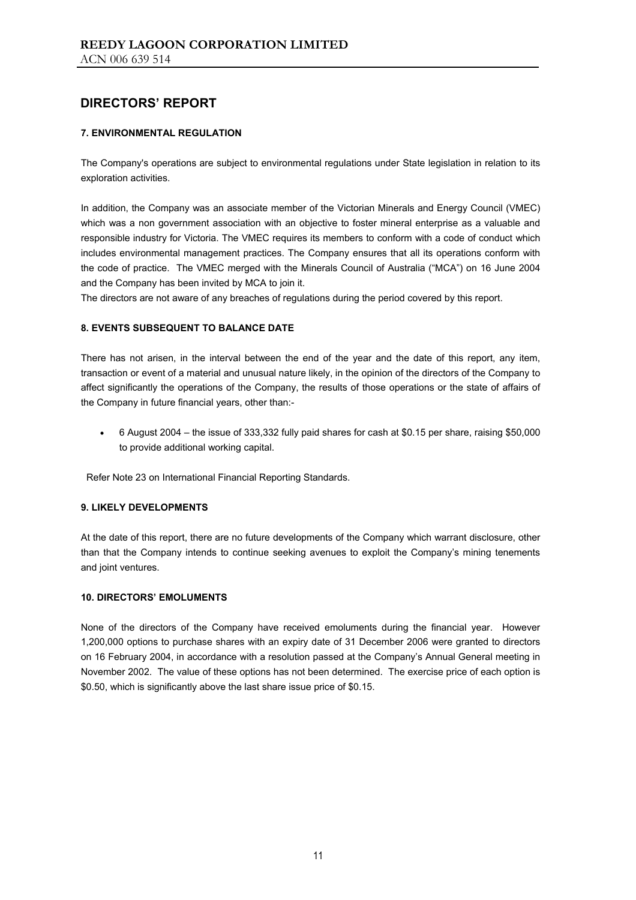#### **7. ENVIRONMENTAL REGULATION**

The Company's operations are subject to environmental regulations under State legislation in relation to its exploration activities.

In addition, the Company was an associate member of the Victorian Minerals and Energy Council (VMEC) which was a non government association with an objective to foster mineral enterprise as a valuable and responsible industry for Victoria. The VMEC requires its members to conform with a code of conduct which includes environmental management practices. The Company ensures that all its operations conform with the code of practice. The VMEC merged with the Minerals Council of Australia ("MCA") on 16 June 2004 and the Company has been invited by MCA to join it.

The directors are not aware of any breaches of regulations during the period covered by this report.

#### **8. EVENTS SUBSEQUENT TO BALANCE DATE**

There has not arisen, in the interval between the end of the year and the date of this report, any item, transaction or event of a material and unusual nature likely, in the opinion of the directors of the Company to affect significantly the operations of the Company, the results of those operations or the state of affairs of the Company in future financial years, other than:-

• 6 August 2004 – the issue of 333,332 fully paid shares for cash at \$0.15 per share, raising \$50,000 to provide additional working capital.

Refer Note 23 on International Financial Reporting Standards.

#### **9. LIKELY DEVELOPMENTS**

At the date of this report, there are no future developments of the Company which warrant disclosure, other than that the Company intends to continue seeking avenues to exploit the Company's mining tenements and joint ventures.

#### **10. DIRECTORS' EMOLUMENTS**

None of the directors of the Company have received emoluments during the financial year. However 1,200,000 options to purchase shares with an expiry date of 31 December 2006 were granted to directors on 16 February 2004, in accordance with a resolution passed at the Company's Annual General meeting in November 2002. The value of these options has not been determined. The exercise price of each option is \$0.50, which is significantly above the last share issue price of \$0.15.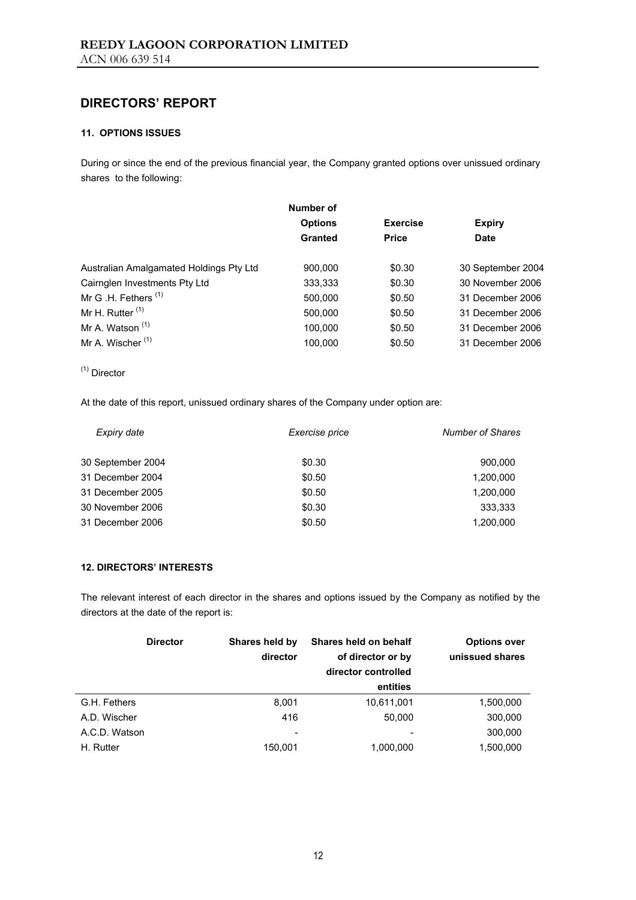#### **11. OPTIONS ISSUES**

During or since the end of the previous financial year, the Company granted options over unissued ordinary shares to the following:

|                                         | Number of      |                 |                   |
|-----------------------------------------|----------------|-----------------|-------------------|
|                                         | <b>Options</b> | <b>Exercise</b> | <b>Expiry</b>     |
|                                         | Granted        | <b>Price</b>    | <b>Date</b>       |
| Australian Amalgamated Holdings Pty Ltd | 900,000        | \$0.30          | 30 September 2004 |
| Cairnglen Investments Pty Ltd           | 333,333        | \$0.30          | 30 November 2006  |
| Mr G .H. Fethers <sup>(1)</sup>         | 500,000        | \$0.50          | 31 December 2006  |
| Mr H. Rutter $(1)$                      | 500,000        | \$0.50          | 31 December 2006  |
| Mr A. Watson <sup>(1)</sup>             | 100,000        | \$0.50          | 31 December 2006  |
| Mr A. Wischer <sup>(1)</sup>            | 100.000        | \$0.50          | 31 December 2006  |

(1) Director

At the date of this report, unissued ordinary shares of the Company under option are:

| Expiry date       | Exercise price | <b>Number of Shares</b> |
|-------------------|----------------|-------------------------|
| 30 September 2004 | \$0.30         | 900.000                 |
| 31 December 2004  | \$0.50         | 1,200,000               |
| 31 December 2005  | \$0.50         | 1.200.000               |
| 30 November 2006  | \$0.30         | 333.333                 |
| 31 December 2006  | \$0.50         | 1,200,000               |

#### **12. DIRECTORS' INTERESTS**

The relevant interest of each director in the shares and options issued by the Company as notified by the directors at the date of the report is:

|               | <b>Director</b> | Shares held by<br>director | Shares held on behalf<br>of director or by<br>director controlled | <b>Options over</b><br>unissued shares |
|---------------|-----------------|----------------------------|-------------------------------------------------------------------|----------------------------------------|
|               |                 |                            | entities                                                          |                                        |
| G.H. Fethers  |                 | 8,001                      | 10,611,001                                                        | 1,500,000                              |
| A.D. Wischer  |                 | 416                        | 50.000                                                            | 300,000                                |
| A.C.D. Watson |                 | $\overline{\phantom{0}}$   |                                                                   | 300,000                                |
| H. Rutter     |                 | 150,001                    | 1,000,000                                                         | 1,500,000                              |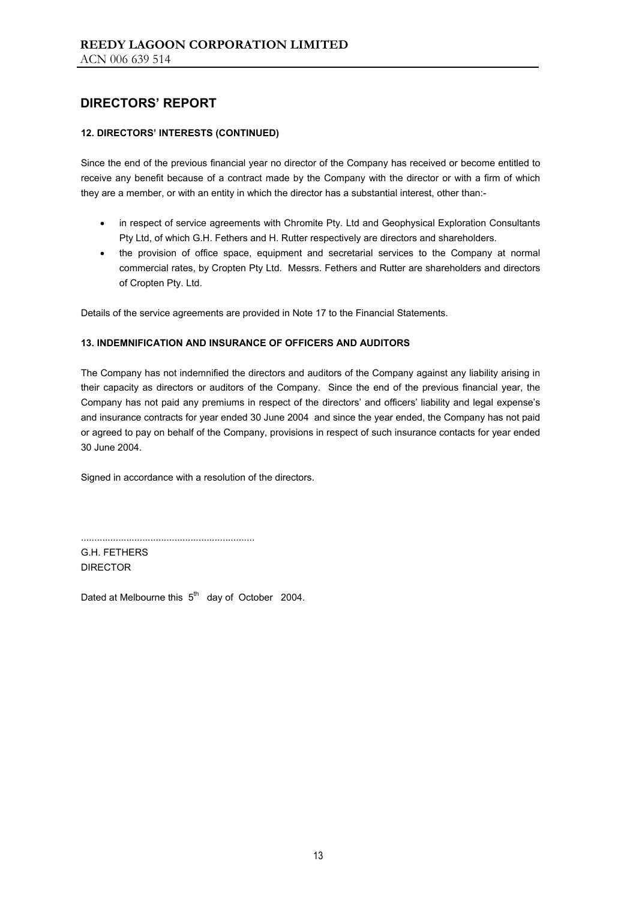#### **12. DIRECTORS' INTERESTS (CONTINUED)**

Since the end of the previous financial year no director of the Company has received or become entitled to receive any benefit because of a contract made by the Company with the director or with a firm of which they are a member, or with an entity in which the director has a substantial interest, other than:-

- in respect of service agreements with Chromite Pty. Ltd and Geophysical Exploration Consultants Pty Ltd, of which G.H. Fethers and H. Rutter respectively are directors and shareholders.
- the provision of office space, equipment and secretarial services to the Company at normal commercial rates, by Cropten Pty Ltd. Messrs. Fethers and Rutter are shareholders and directors of Cropten Pty. Ltd.

Details of the service agreements are provided in Note 17 to the Financial Statements.

#### **13. INDEMNIFICATION AND INSURANCE OF OFFICERS AND AUDITORS**

The Company has not indemnified the directors and auditors of the Company against any liability arising in their capacity as directors or auditors of the Company. Since the end of the previous financial year, the Company has not paid any premiums in respect of the directors' and officers' liability and legal expense's and insurance contracts for year ended 30 June 2004 and since the year ended, the Company has not paid or agreed to pay on behalf of the Company, provisions in respect of such insurance contacts for year ended 30 June 2004.

Signed in accordance with a resolution of the directors.

G.H. FETHERS DIRECTOR

Dated at Melbourne this  $5<sup>th</sup>$  day of October 2004.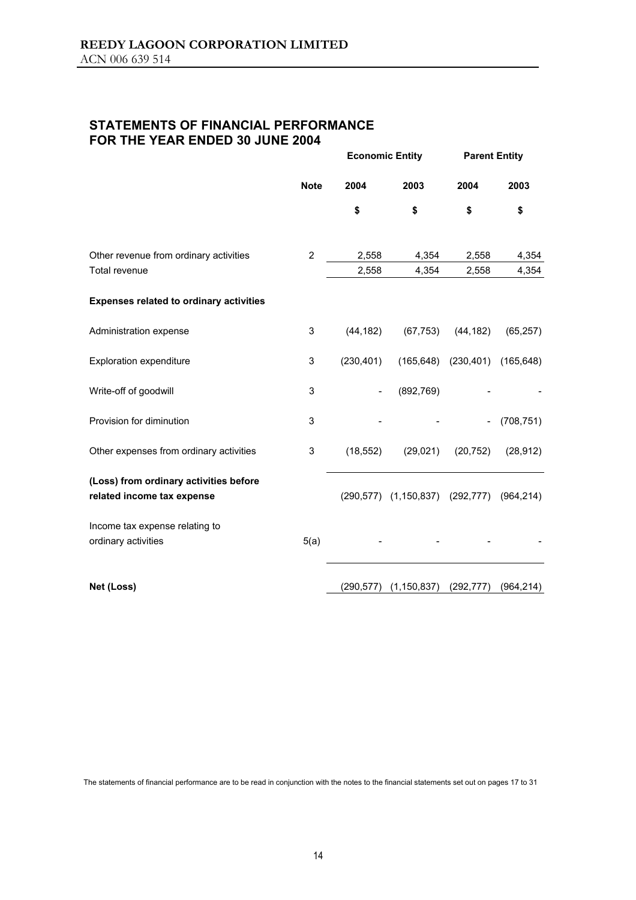## **STATEMENTS OF FINANCIAL PERFORMANCE FOR THE YEAR ENDED 30 JUNE 2004**

|                                                                      |                | <b>Economic Entity</b> |                                 | <b>Parent Entity</b>      |                |
|----------------------------------------------------------------------|----------------|------------------------|---------------------------------|---------------------------|----------------|
|                                                                      | <b>Note</b>    | 2004                   | 2003                            | 2004                      | 2003           |
|                                                                      |                | \$                     | \$                              | \$                        | \$             |
| Other revenue from ordinary activities<br>Total revenue              | $\overline{2}$ | 2,558<br>2,558         | 4,354<br>4,354                  | 2,558<br>2,558            | 4,354<br>4,354 |
| <b>Expenses related to ordinary activities</b>                       |                |                        |                                 |                           |                |
| Administration expense                                               | 3              | (44, 182)              | (67, 753)                       | (44, 182)                 | (65, 257)      |
| <b>Exploration expenditure</b>                                       | 3              | (230, 401)             |                                 | $(165, 648)$ $(230, 401)$ | (165, 648)     |
| Write-off of goodwill                                                | 3              |                        | (892, 769)                      |                           |                |
| Provision for diminution                                             | 3              |                        |                                 |                           | (708, 751)     |
| Other expenses from ordinary activities                              | 3              | (18, 552)              | (29, 021)                       | (20, 752)                 | (28, 912)      |
| (Loss) from ordinary activities before<br>related income tax expense |                |                        | (290,577) (1,150,837) (292,777) |                           | (964, 214)     |
| Income tax expense relating to<br>ordinary activities                | 5(a)           |                        |                                 |                           |                |
| Net (Loss)                                                           |                | (290, 577)             | (1, 150, 837)                   | (292, 777)                | (964, 214)     |

The statements of financial performance are to be read in conjunction with the notes to the financial statements set out on pages 17 to 31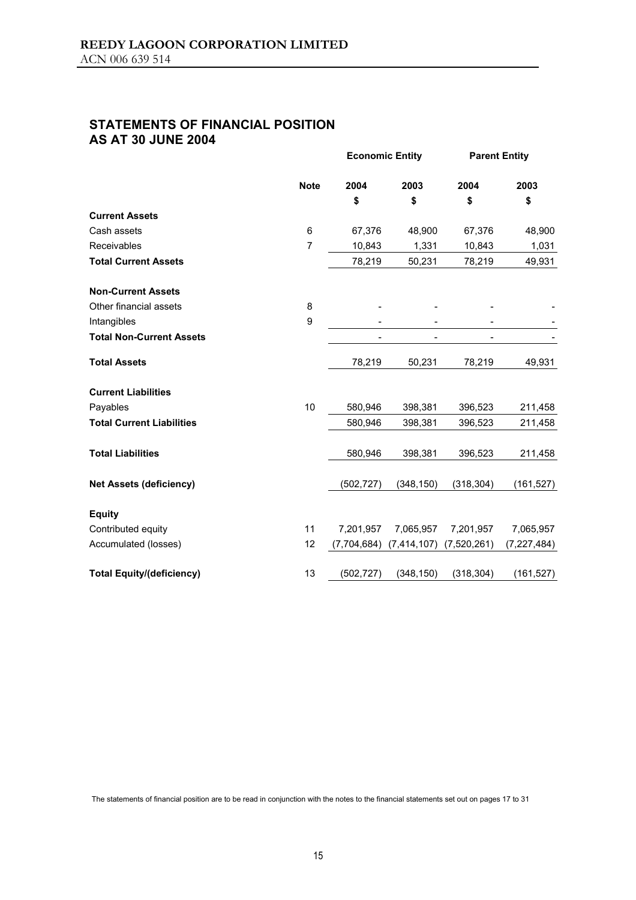## **STATEMENTS OF FINANCIAL POSITION AS AT 30 JUNE 2004**

|                                  |             |             | <b>Economic Entity</b> |             | <b>Parent Entity</b> |  |
|----------------------------------|-------------|-------------|------------------------|-------------|----------------------|--|
|                                  | <b>Note</b> | 2004        | 2003                   | 2004        | 2003                 |  |
|                                  |             | \$          | \$                     | \$          | \$                   |  |
| <b>Current Assets</b>            |             |             |                        |             |                      |  |
| Cash assets                      | 6           | 67,376      | 48,900                 | 67,376      | 48,900               |  |
| Receivables                      | 7           | 10,843      | 1,331                  | 10,843      | 1,031                |  |
| <b>Total Current Assets</b>      |             | 78,219      | 50,231                 | 78,219      | 49,931               |  |
| <b>Non-Current Assets</b>        |             |             |                        |             |                      |  |
| Other financial assets           | 8           |             |                        |             |                      |  |
| Intangibles                      | 9           |             |                        |             |                      |  |
| <b>Total Non-Current Assets</b>  |             |             |                        |             |                      |  |
| <b>Total Assets</b>              |             | 78,219      | 50,231                 | 78,219      | 49,931               |  |
| <b>Current Liabilities</b>       |             |             |                        |             |                      |  |
| Payables                         | 10          | 580,946     | 398,381                | 396,523     | 211,458              |  |
| <b>Total Current Liabilities</b> |             | 580,946     | 398,381                | 396,523     | 211,458              |  |
| <b>Total Liabilities</b>         |             | 580,946     | 398,381                | 396,523     | 211,458              |  |
| <b>Net Assets (deficiency)</b>   |             | (502, 727)  | (348, 150)             | (318, 304)  | (161, 527)           |  |
| <b>Equity</b>                    |             |             |                        |             |                      |  |
| Contributed equity               | 11          | 7,201,957   | 7,065,957              | 7,201,957   | 7,065,957            |  |
| Accumulated (losses)             | 12          | (7,704,684) | (7, 414, 107)          | (7,520,261) | (7, 227, 484)        |  |
| <b>Total Equity/(deficiency)</b> | 13          | (502, 727)  | (348, 150)             | (318, 304)  | (161, 527)           |  |

The statements of financial position are to be read in conjunction with the notes to the financial statements set out on pages 17 to 31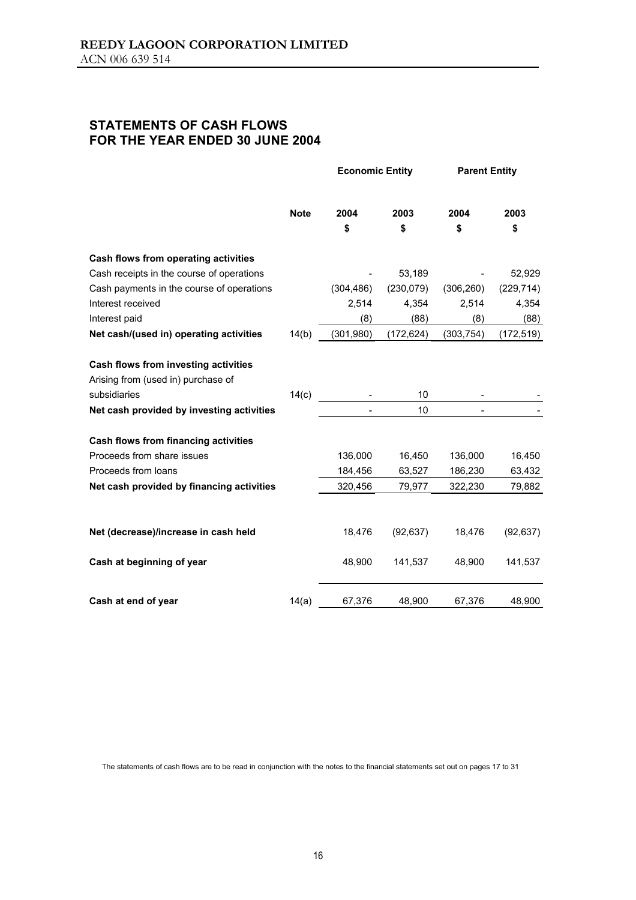## **STATEMENTS OF CASH FLOWS FOR THE YEAR ENDED 30 JUNE 2004**

|                                           |             | <b>Economic Entity</b> |            | <b>Parent Entity</b> |            |
|-------------------------------------------|-------------|------------------------|------------|----------------------|------------|
|                                           | <b>Note</b> | 2004                   | 2003       | 2004                 | 2003       |
|                                           |             | \$                     | \$         | \$                   | \$         |
| Cash flows from operating activities      |             |                        |            |                      |            |
| Cash receipts in the course of operations |             |                        | 53,189     |                      | 52,929     |
| Cash payments in the course of operations |             | (304, 486)             | (230, 079) | (306, 260)           | (229, 714) |
| Interest received                         |             | 2,514                  | 4,354      | 2,514                | 4,354      |
| Interest paid                             |             | (8)                    | (88)       | (8)                  | (88)       |
| Net cash/(used in) operating activities   | 14(b)       | (301, 980)             | (172, 624) | (303, 754)           | (172, 519) |
| Cash flows from investing activities      |             |                        |            |                      |            |
| Arising from (used in) purchase of        |             |                        |            |                      |            |
| subsidiaries                              | 14(c)       |                        | 10         |                      |            |
| Net cash provided by investing activities |             |                        | 10         |                      |            |
| Cash flows from financing activities      |             |                        |            |                      |            |
| Proceeds from share issues                |             | 136,000                | 16,450     | 136,000              | 16,450     |
| Proceeds from loans                       |             | 184,456                | 63,527     | 186,230              | 63,432     |
| Net cash provided by financing activities |             | 320,456                | 79,977     | 322,230              | 79,882     |
|                                           |             |                        |            |                      |            |
| Net (decrease)/increase in cash held      |             | 18,476                 | (92, 637)  | 18,476               | (92, 637)  |
| Cash at beginning of year                 |             | 48,900                 | 141,537    | 48,900               | 141,537    |
| Cash at end of year                       | 14(a)       | 67,376                 | 48,900     | 67,376               | 48,900     |

The statements of cash flows are to be read in conjunction with the notes to the financial statements set out on pages 17 to 31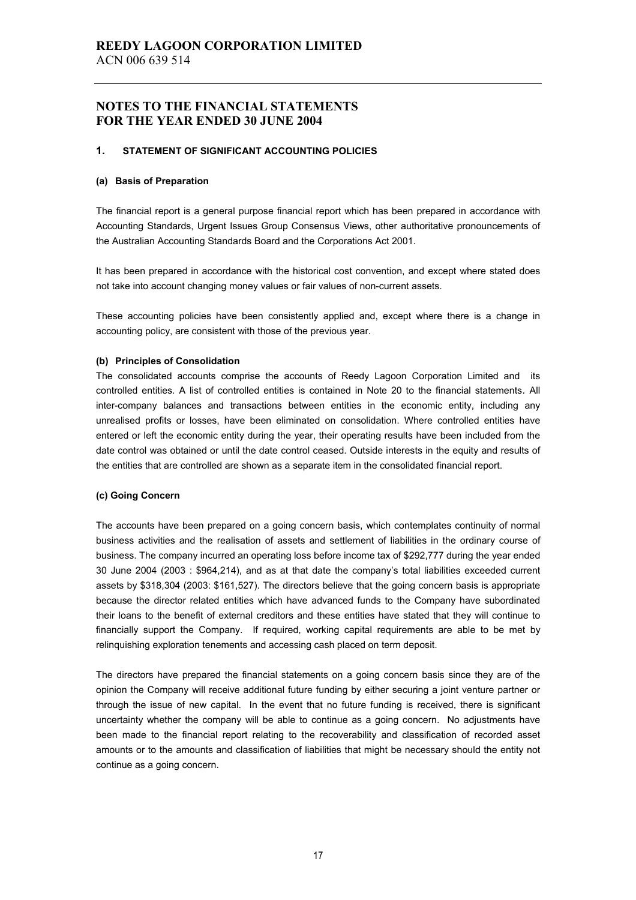#### **1. STATEMENT OF SIGNIFICANT ACCOUNTING POLICIES**

#### **(a) Basis of Preparation**

The financial report is a general purpose financial report which has been prepared in accordance with Accounting Standards, Urgent Issues Group Consensus Views, other authoritative pronouncements of the Australian Accounting Standards Board and the Corporations Act 2001.

It has been prepared in accordance with the historical cost convention, and except where stated does not take into account changing money values or fair values of non-current assets.

These accounting policies have been consistently applied and, except where there is a change in accounting policy, are consistent with those of the previous year.

#### **(b) Principles of Consolidation**

The consolidated accounts comprise the accounts of Reedy Lagoon Corporation Limited and its controlled entities. A list of controlled entities is contained in Note 20 to the financial statements. All inter-company balances and transactions between entities in the economic entity, including any unrealised profits or losses, have been eliminated on consolidation. Where controlled entities have entered or left the economic entity during the year, their operating results have been included from the date control was obtained or until the date control ceased. Outside interests in the equity and results of the entities that are controlled are shown as a separate item in the consolidated financial report.

#### **(c) Going Concern**

The accounts have been prepared on a going concern basis, which contemplates continuity of normal business activities and the realisation of assets and settlement of liabilities in the ordinary course of business. The company incurred an operating loss before income tax of \$292,777 during the year ended 30 June 2004 (2003 : \$964,214), and as at that date the company's total liabilities exceeded current assets by \$318,304 (2003: \$161,527). The directors believe that the going concern basis is appropriate because the director related entities which have advanced funds to the Company have subordinated their loans to the benefit of external creditors and these entities have stated that they will continue to financially support the Company. If required, working capital requirements are able to be met by relinquishing exploration tenements and accessing cash placed on term deposit.

The directors have prepared the financial statements on a going concern basis since they are of the opinion the Company will receive additional future funding by either securing a joint venture partner or through the issue of new capital. In the event that no future funding is received, there is significant uncertainty whether the company will be able to continue as a going concern. No adjustments have been made to the financial report relating to the recoverability and classification of recorded asset amounts or to the amounts and classification of liabilities that might be necessary should the entity not continue as a going concern.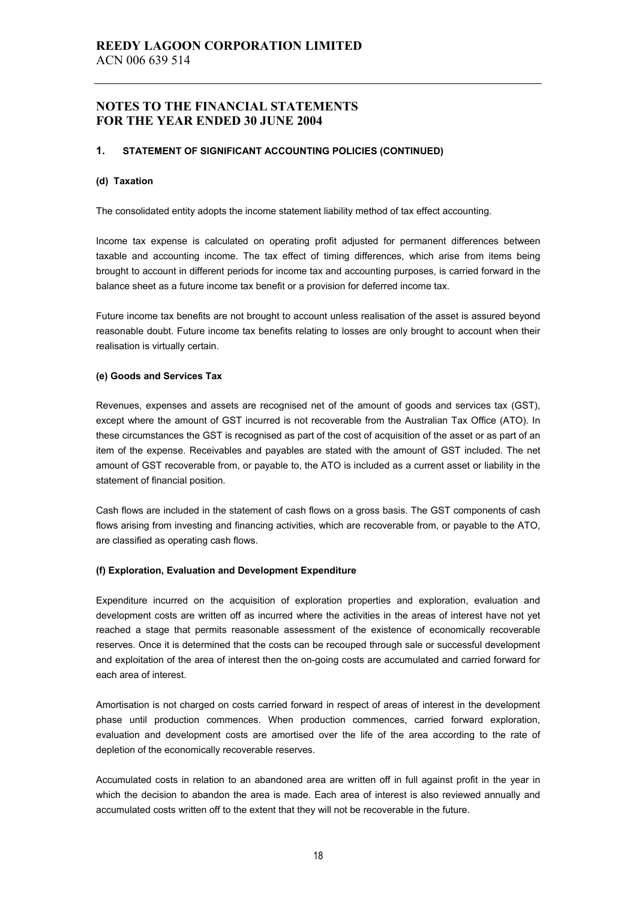#### **1. STATEMENT OF SIGNIFICANT ACCOUNTING POLICIES (CONTINUED)**

#### **(d) Taxation**

The consolidated entity adopts the income statement liability method of tax effect accounting.

Income tax expense is calculated on operating profit adjusted for permanent differences between taxable and accounting income. The tax effect of timing differences, which arise from items being brought to account in different periods for income tax and accounting purposes, is carried forward in the balance sheet as a future income tax benefit or a provision for deferred income tax.

Future income tax benefits are not brought to account unless realisation of the asset is assured beyond reasonable doubt. Future income tax benefits relating to losses are only brought to account when their realisation is virtually certain.

#### **(e) Goods and Services Tax**

Revenues, expenses and assets are recognised net of the amount of goods and services tax (GST), except where the amount of GST incurred is not recoverable from the Australian Tax Office (ATO). In these circumstances the GST is recognised as part of the cost of acquisition of the asset or as part of an item of the expense. Receivables and payables are stated with the amount of GST included. The net amount of GST recoverable from, or payable to, the ATO is included as a current asset or liability in the statement of financial position.

Cash flows are included in the statement of cash flows on a gross basis. The GST components of cash flows arising from investing and financing activities, which are recoverable from, or payable to the ATO, are classified as operating cash flows.

#### **(f) Exploration, Evaluation and Development Expenditure**

Expenditure incurred on the acquisition of exploration properties and exploration, evaluation and development costs are written off as incurred where the activities in the areas of interest have not yet reached a stage that permits reasonable assessment of the existence of economically recoverable reserves. Once it is determined that the costs can be recouped through sale or successful development and exploitation of the area of interest then the on-going costs are accumulated and carried forward for each area of interest.

Amortisation is not charged on costs carried forward in respect of areas of interest in the development phase until production commences. When production commences, carried forward exploration, evaluation and development costs are amortised over the life of the area according to the rate of depletion of the economically recoverable reserves.

Accumulated costs in relation to an abandoned area are written off in full against profit in the year in which the decision to abandon the area is made. Each area of interest is also reviewed annually and accumulated costs written off to the extent that they will not be recoverable in the future.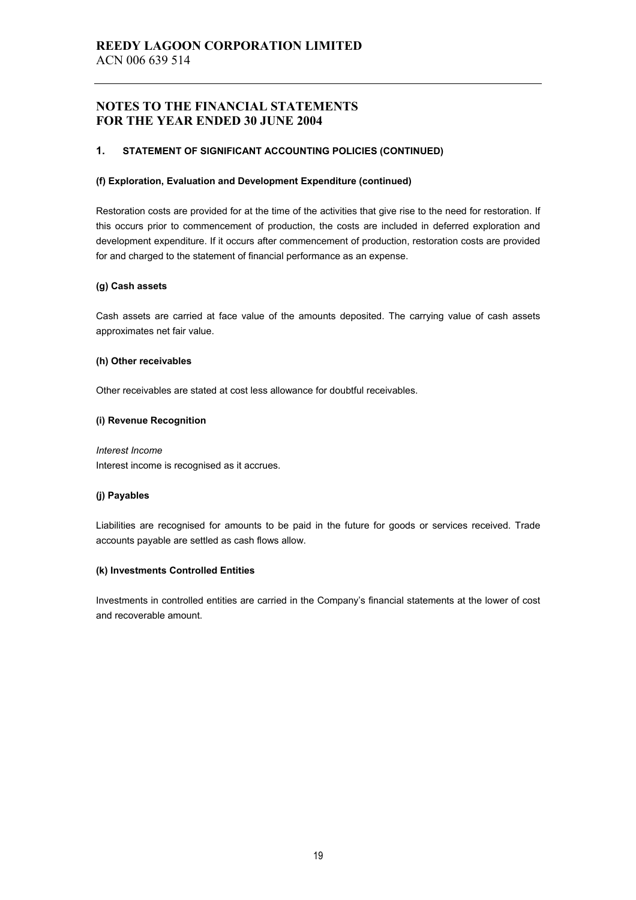#### **1. STATEMENT OF SIGNIFICANT ACCOUNTING POLICIES (CONTINUED)**

#### **(f) Exploration, Evaluation and Development Expenditure (continued)**

Restoration costs are provided for at the time of the activities that give rise to the need for restoration. If this occurs prior to commencement of production, the costs are included in deferred exploration and development expenditure. If it occurs after commencement of production, restoration costs are provided for and charged to the statement of financial performance as an expense.

#### **(g) Cash assets**

Cash assets are carried at face value of the amounts deposited. The carrying value of cash assets approximates net fair value.

#### **(h) Other receivables**

Other receivables are stated at cost less allowance for doubtful receivables.

#### **(i) Revenue Recognition**

*Interest Income*  Interest income is recognised as it accrues.

#### **(j) Payables**

Liabilities are recognised for amounts to be paid in the future for goods or services received. Trade accounts payable are settled as cash flows allow.

#### **(k) Investments Controlled Entities**

Investments in controlled entities are carried in the Company's financial statements at the lower of cost and recoverable amount.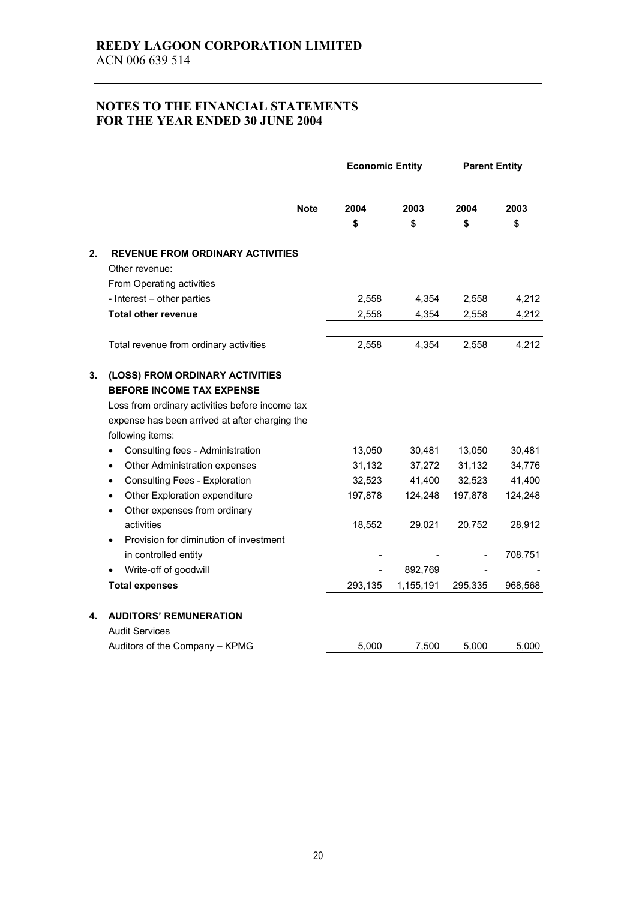|    |                                                                                                                                                                                                                                  | <b>Economic Entity</b> |                      | <b>Parent Entity</b> |                   |
|----|----------------------------------------------------------------------------------------------------------------------------------------------------------------------------------------------------------------------------------|------------------------|----------------------|----------------------|-------------------|
|    | <b>Note</b>                                                                                                                                                                                                                      | 2004<br>\$             | 2003<br>\$           | 2004<br>\$           | 2003<br>\$        |
| 2. | <b>REVENUE FROM ORDINARY ACTIVITIES</b><br>Other revenue:<br>From Operating activities<br>- Interest - other parties                                                                                                             | 2,558                  | 4,354                | 2,558                | 4,212             |
|    | <b>Total other revenue</b>                                                                                                                                                                                                       | 2,558                  | 4,354                | 2,558                | 4,212             |
|    | Total revenue from ordinary activities                                                                                                                                                                                           | 2,558                  | 4,354                | 2,558                | 4,212             |
| 3. | (LOSS) FROM ORDINARY ACTIVITIES<br><b>BEFORE INCOME TAX EXPENSE</b><br>Loss from ordinary activities before income tax<br>expense has been arrived at after charging the<br>following items:<br>Consulting fees - Administration | 13,050                 | 30,481               | 13,050               | 30,481            |
|    | Other Administration expenses<br>$\bullet$                                                                                                                                                                                       | 31,132                 | 37,272               | 31,132               | 34,776            |
|    | <b>Consulting Fees - Exploration</b><br>$\bullet$<br>Other Exploration expenditure<br>$\bullet$<br>Other expenses from ordinary<br>$\bullet$                                                                                     | 32,523<br>197,878      | 41,400<br>124,248    | 32,523<br>197,878    | 41,400<br>124,248 |
|    | activities<br>Provision for diminution of investment                                                                                                                                                                             | 18,552                 | 29,021               | 20,752               | 28,912            |
|    | in controlled entity                                                                                                                                                                                                             |                        |                      |                      | 708,751           |
|    | Write-off of goodwill<br><b>Total expenses</b>                                                                                                                                                                                   | 293,135                | 892,769<br>1,155,191 | 295,335              | 968,568           |
| 4. | <b>AUDITORS' REMUNERATION</b><br><b>Audit Services</b>                                                                                                                                                                           |                        |                      |                      |                   |
|    | Auditors of the Company - KPMG                                                                                                                                                                                                   | 5,000                  | 7,500                | 5,000                | 5,000             |
|    |                                                                                                                                                                                                                                  |                        |                      |                      |                   |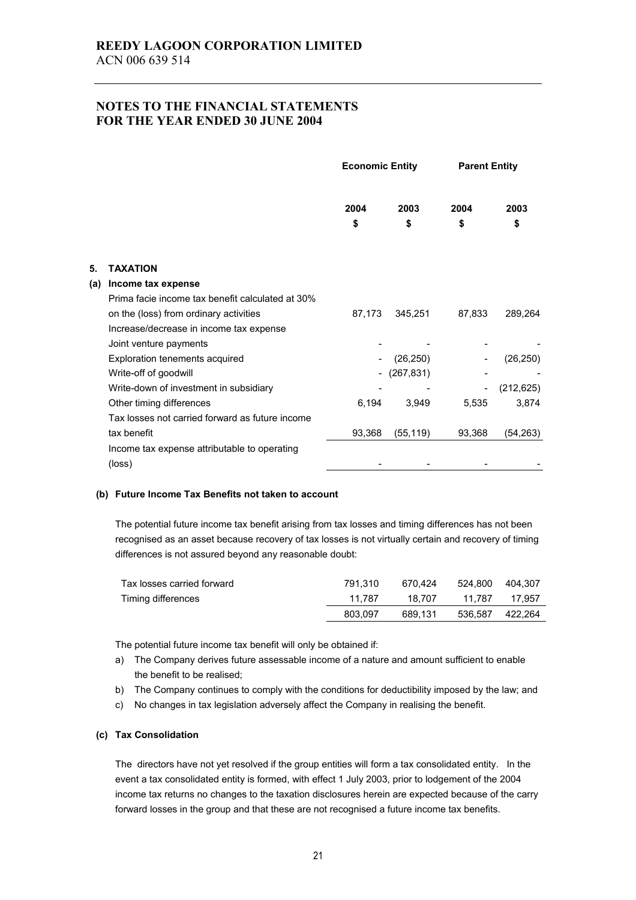|                                                  | <b>Economic Entity</b> |            | <b>Parent Entity</b> |            |
|--------------------------------------------------|------------------------|------------|----------------------|------------|
|                                                  | 2004                   | 2003       | 2004                 | 2003       |
|                                                  | \$                     | \$         | \$                   | \$         |
| <b>TAXATION</b>                                  |                        |            |                      |            |
| Income tax expense                               |                        |            |                      |            |
| Prima facie income tax benefit calculated at 30% |                        |            |                      |            |
| on the (loss) from ordinary activities           |                        | 345,251    | 87,833               | 289,264    |
| Increase/decrease in income tax expense          |                        |            |                      |            |
| Joint venture payments                           |                        |            |                      |            |
| Exploration tenements acquired                   |                        | (26, 250)  |                      | (26, 250)  |
| Write-off of goodwill                            |                        | (267, 831) |                      |            |
| Write-down of investment in subsidiary           |                        |            |                      | (212, 625) |
| Other timing differences                         | 6,194                  | 3,949      | 5,535                | 3,874      |
| Tax losses not carried forward as future income  |                        |            |                      |            |
| tax benefit                                      | 93,368                 | (55, 119)  | 93,368               | (54, 263)  |
| Income tax expense attributable to operating     |                        |            |                      |            |
| (loss)                                           |                        |            |                      |            |
|                                                  |                        |            | 87,173               |            |

#### **(b) Future Income Tax Benefits not taken to account**

The potential future income tax benefit arising from tax losses and timing differences has not been recognised as an asset because recovery of tax losses is not virtually certain and recovery of timing differences is not assured beyond any reasonable doubt:

| Tax losses carried forward | 791.310 | 670.424 | 524.800 404.307 |        |
|----------------------------|---------|---------|-----------------|--------|
| Timing differences         | 11.787  | 18.707  | 11.787          | 17.957 |
|                            | 803.097 | 689.131 | 536.587 422.264 |        |

The potential future income tax benefit will only be obtained if:

- a) The Company derives future assessable income of a nature and amount sufficient to enable the benefit to be realised;
- b) The Company continues to comply with the conditions for deductibility imposed by the law; and
- c) No changes in tax legislation adversely affect the Company in realising the benefit.

#### **(c) Tax Consolidation**

The directors have not yet resolved if the group entities will form a tax consolidated entity. In the event a tax consolidated entity is formed, with effect 1 July 2003, prior to lodgement of the 2004 income tax returns no changes to the taxation disclosures herein are expected because of the carry forward losses in the group and that these are not recognised a future income tax benefits.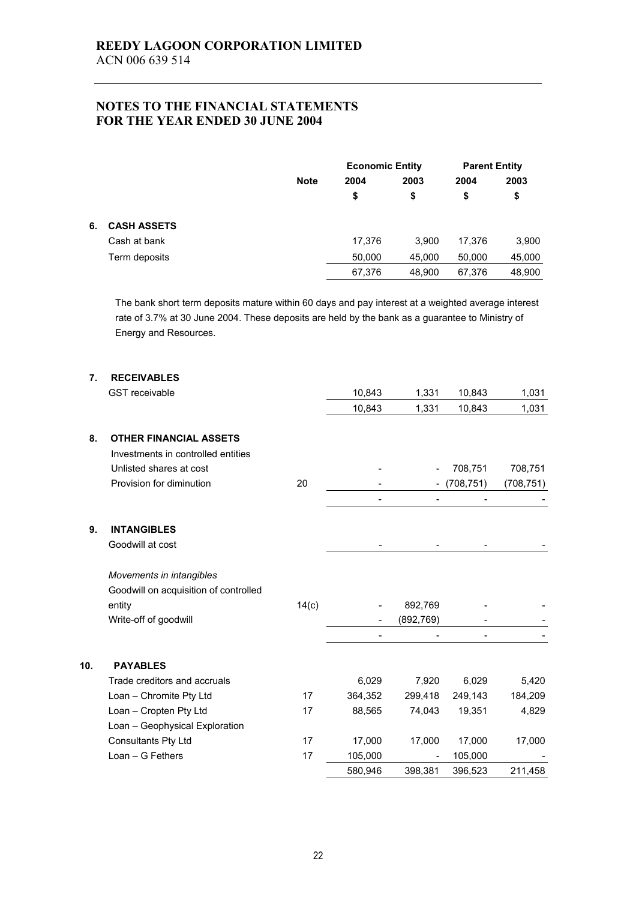|    |                    |             | <b>Economic Entity</b> |            | <b>Parent Entity</b> |            |
|----|--------------------|-------------|------------------------|------------|----------------------|------------|
|    |                    | <b>Note</b> | 2004<br>\$             | 2003<br>\$ | 2004<br>\$           | 2003<br>\$ |
| 6. | <b>CASH ASSETS</b> |             |                        |            |                      |            |
|    | Cash at bank       |             | 17,376                 | 3.900      | 17.376               | 3,900      |
|    | Term deposits      |             | 50,000                 | 45,000     | 50,000               | 45,000     |
|    |                    |             | 67,376                 | 48.900     | 67,376               | 48,900     |

The bank short term deposits mature within 60 days and pay interest at a weighted average interest rate of 3.7% at 30 June 2004. These deposits are held by the bank as a guarantee to Ministry of Energy and Resources.

| 7.  | <b>RECEIVABLES</b>                    |       |         |                              |                          |            |
|-----|---------------------------------------|-------|---------|------------------------------|--------------------------|------------|
|     | <b>GST</b> receivable                 |       | 10,843  | 1,331                        | 10,843                   | 1,031      |
|     |                                       |       | 10,843  | 1,331                        | 10,843                   | 1,031      |
| 8.  | <b>OTHER FINANCIAL ASSETS</b>         |       |         |                              |                          |            |
|     | Investments in controlled entities    |       |         |                              |                          |            |
|     | Unlisted shares at cost               |       |         |                              | 708,751                  | 708,751    |
|     | Provision for diminution              | 20    |         |                              | (708, 751)               | (708, 751) |
|     |                                       |       |         | $\qquad \qquad \blacksquare$ | $\overline{\phantom{a}}$ |            |
| 9.  | <b>INTANGIBLES</b>                    |       |         |                              |                          |            |
|     | Goodwill at cost                      |       |         |                              |                          |            |
|     | Movements in intangibles              |       |         |                              |                          |            |
|     | Goodwill on acquisition of controlled |       |         |                              |                          |            |
|     | entity                                | 14(c) |         | 892,769                      |                          |            |
|     | Write-off of goodwill                 |       |         | (892, 769)                   |                          |            |
|     |                                       |       |         |                              |                          |            |
| 10. | <b>PAYABLES</b>                       |       |         |                              |                          |            |
|     | Trade creditors and accruals          |       | 6,029   | 7,920                        | 6,029                    | 5,420      |
|     | Loan - Chromite Pty Ltd               | 17    | 364,352 | 299,418                      | 249,143                  | 184,209    |
|     | Loan - Cropten Pty Ltd                | 17    | 88,565  | 74,043                       | 19,351                   | 4,829      |
|     | Loan - Geophysical Exploration        |       |         |                              |                          |            |
|     | Consultants Pty Ltd                   | 17    | 17,000  | 17,000                       | 17,000                   | 17,000     |
|     | $Lean - G$ Fethers                    | 17    | 105,000 |                              | 105,000                  |            |
|     |                                       |       | 580,946 | 398,381                      | 396,523                  | 211,458    |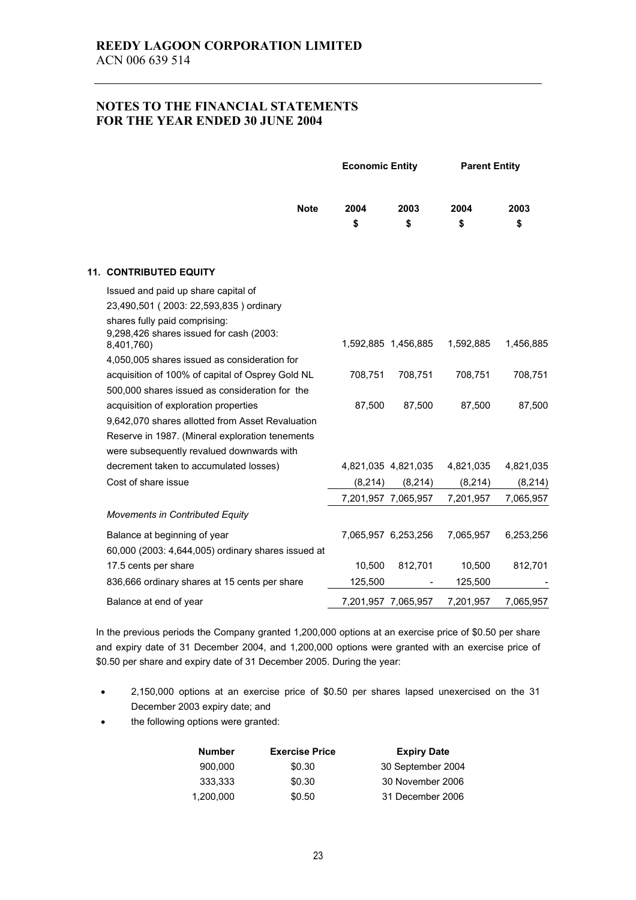|                                                                                        | <b>Economic Entity</b> |                     | <b>Parent Entity</b> |           |
|----------------------------------------------------------------------------------------|------------------------|---------------------|----------------------|-----------|
| <b>Note</b>                                                                            | 2004                   | 2003                | 2004                 | 2003      |
|                                                                                        | \$                     | \$                  | \$                   | \$        |
| <b>11. CONTRIBUTED EQUITY</b>                                                          |                        |                     |                      |           |
| Issued and paid up share capital of                                                    |                        |                     |                      |           |
| 23,490,501 (2003: 22,593,835) ordinary                                                 |                        |                     |                      |           |
| shares fully paid comprising:<br>9,298,426 shares issued for cash (2003:<br>8,401,760) |                        | 1,592,885 1,456,885 | 1,592,885            | 1,456,885 |
| 4,050,005 shares issued as consideration for                                           |                        |                     |                      |           |
| acquisition of 100% of capital of Osprey Gold NL                                       | 708,751                | 708,751             | 708,751              | 708,751   |
| 500,000 shares issued as consideration for the                                         |                        |                     |                      |           |
| acquisition of exploration properties                                                  | 87,500                 | 87,500              | 87,500               | 87,500    |
| 9,642,070 shares allotted from Asset Revaluation                                       |                        |                     |                      |           |
| Reserve in 1987. (Mineral exploration tenements                                        |                        |                     |                      |           |
| were subsequently revalued downwards with                                              |                        |                     |                      |           |
| decrement taken to accumulated losses)                                                 |                        | 4,821,035 4,821,035 | 4,821,035            | 4,821,035 |
| Cost of share issue                                                                    | (8, 214)               | (8, 214)            | (8, 214)             | (8, 214)  |
|                                                                                        |                        | 7,201,957 7,065,957 | 7,201,957            | 7,065,957 |
| <b>Movements in Contributed Equity</b>                                                 |                        |                     |                      |           |
| Balance at beginning of year                                                           |                        | 7,065,957 6,253,256 | 7,065,957            | 6,253,256 |
| 60,000 (2003: 4,644,005) ordinary shares issued at                                     |                        |                     |                      |           |
| 17.5 cents per share                                                                   | 10,500                 | 812,701             | 10,500               | 812,701   |
| 836,666 ordinary shares at 15 cents per share                                          | 125,500                |                     | 125,500              |           |
| Balance at end of year                                                                 | 7,201,957 7,065,957    |                     | 7,201,957            | 7,065,957 |

In the previous periods the Company granted 1,200,000 options at an exercise price of \$0.50 per share and expiry date of 31 December 2004, and 1,200,000 options were granted with an exercise price of \$0.50 per share and expiry date of 31 December 2005. During the year:

- 2,150,000 options at an exercise price of \$0.50 per shares lapsed unexercised on the 31 December 2003 expiry date; and
- the following options were granted:

| <b>Number</b> | <b>Exercise Price</b> | <b>Expiry Date</b> |
|---------------|-----------------------|--------------------|
| 900.000       | \$0.30                | 30 September 2004  |
| 333.333       | \$0.30                | 30 November 2006   |
| 1.200.000     | \$0.50                | 31 December 2006   |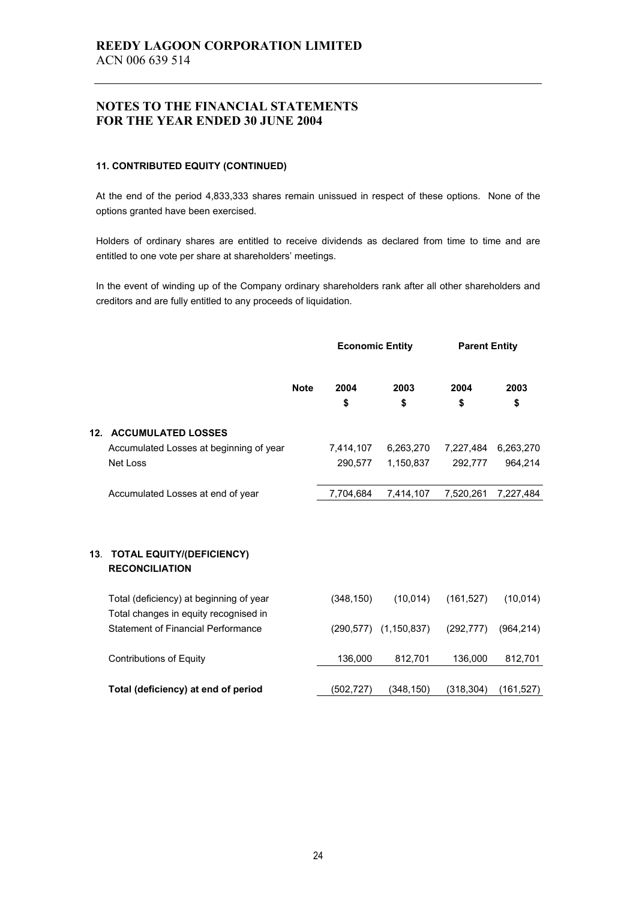#### **11. CONTRIBUTED EQUITY (CONTINUED)**

At the end of the period 4,833,333 shares remain unissued in respect of these options. None of the options granted have been exercised.

Holders of ordinary shares are entitled to receive dividends as declared from time to time and are entitled to one vote per share at shareholders' meetings.

In the event of winding up of the Company ordinary shareholders rank after all other shareholders and creditors and are fully entitled to any proceeds of liquidation.

|     |                                                           |             | <b>Economic Entity</b> |                              | <b>Parent Entity</b> |            |
|-----|-----------------------------------------------------------|-------------|------------------------|------------------------------|----------------------|------------|
|     |                                                           | <b>Note</b> | 2004                   | 2003                         | 2004                 | 2003       |
|     |                                                           |             | \$                     | \$                           | \$                   | \$         |
| 12. | <b>ACCUMULATED LOSSES</b>                                 |             |                        |                              |                      |            |
|     | Accumulated Losses at beginning of year                   |             | 7,414,107              | 6,263,270                    | 7,227,484            | 6,263,270  |
|     | Net Loss                                                  |             | 290,577                | 1,150,837                    | 292,777              | 964,214    |
|     |                                                           |             |                        |                              |                      |            |
|     | Accumulated Losses at end of year                         |             | 7,704,684              | 7,414,107                    | 7,520,261            | 7,227,484  |
| 13. | <b>TOTAL EQUITY/(DEFICIENCY)</b><br><b>RECONCILIATION</b> |             |                        |                              |                      |            |
|     | Total (deficiency) at beginning of year                   |             | (348, 150)             | (10, 014)                    | (161, 527)           | (10, 014)  |
|     | Total changes in equity recognised in                     |             |                        |                              |                      |            |
|     | <b>Statement of Financial Performance</b>                 |             |                        | $(290, 577)$ $(1, 150, 837)$ | (292, 777)           | (964, 214) |
|     | <b>Contributions of Equity</b>                            |             | 136,000                | 812,701                      | 136,000              | 812,701    |
|     | Total (deficiency) at end of period                       |             | (502, 727)             | (348, 150)                   | (318, 304)           | (161, 527) |
|     |                                                           |             |                        |                              |                      |            |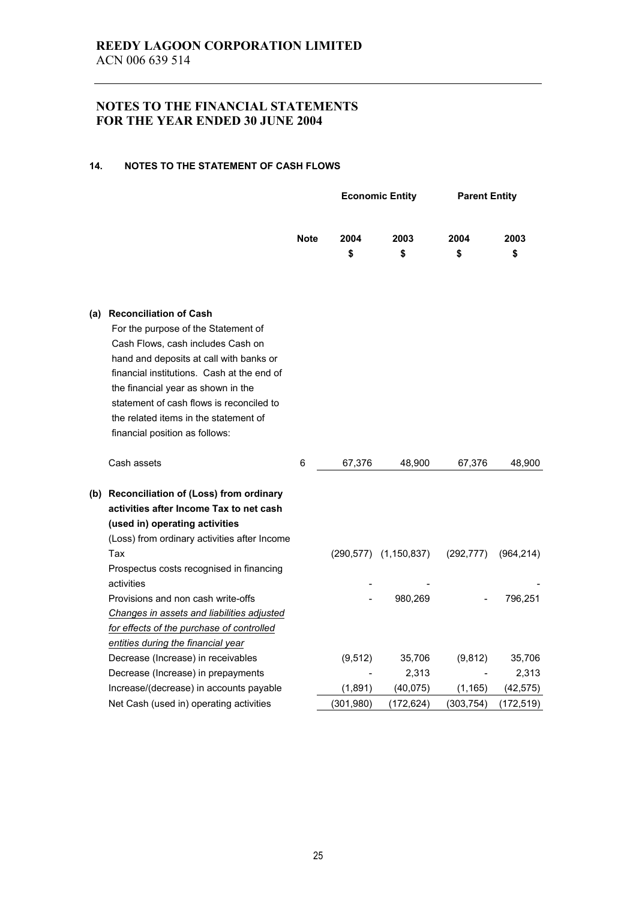#### **14. NOTES TO THE STATEMENT OF CASH FLOWS**

|     |                                                                                                                                                                                                                                                                                                                                                                 |             |            | <b>Economic Entity</b> |                              | <b>Parent Entity</b> |
|-----|-----------------------------------------------------------------------------------------------------------------------------------------------------------------------------------------------------------------------------------------------------------------------------------------------------------------------------------------------------------------|-------------|------------|------------------------|------------------------------|----------------------|
|     |                                                                                                                                                                                                                                                                                                                                                                 | <b>Note</b> | 2004<br>\$ | 2003<br>\$             | 2004<br>\$                   | 2003<br>\$           |
| (a) | <b>Reconciliation of Cash</b><br>For the purpose of the Statement of<br>Cash Flows, cash includes Cash on<br>hand and deposits at call with banks or<br>financial institutions. Cash at the end of<br>the financial year as shown in the<br>statement of cash flows is reconciled to<br>the related items in the statement of<br>financial position as follows: |             |            |                        |                              |                      |
|     | Cash assets                                                                                                                                                                                                                                                                                                                                                     | 6           | 67,376     | 48,900                 | 67,376                       | 48,900               |
|     | (b) Reconciliation of (Loss) from ordinary<br>activities after Income Tax to net cash<br>(used in) operating activities<br>(Loss) from ordinary activities after Income                                                                                                                                                                                         |             |            |                        |                              |                      |
|     | Tax<br>Prospectus costs recognised in financing<br>activities                                                                                                                                                                                                                                                                                                   |             |            | (290,577) (1,150,837)  | (292, 777)                   | (964, 214)           |
|     | Provisions and non cash write-offs<br>Changes in assets and liabilities adjusted<br>for effects of the purchase of controlled<br>entities during the financial year                                                                                                                                                                                             |             |            | 980,269                |                              | 796,251              |
|     | Decrease (Increase) in receivables                                                                                                                                                                                                                                                                                                                              |             | (9, 512)   | 35,706                 | (9,812)                      | 35,706               |
|     | Decrease (Increase) in prepayments                                                                                                                                                                                                                                                                                                                              |             |            | 2,313                  | $\qquad \qquad \blacksquare$ | 2,313                |
|     | Increase/(decrease) in accounts payable                                                                                                                                                                                                                                                                                                                         |             | (1,891)    | (40, 075)              | (1, 165)                     | (42, 575)            |
|     | Net Cash (used in) operating activities                                                                                                                                                                                                                                                                                                                         |             | (301, 980) | (172, 624)             | (303, 754)                   | (172, 519)           |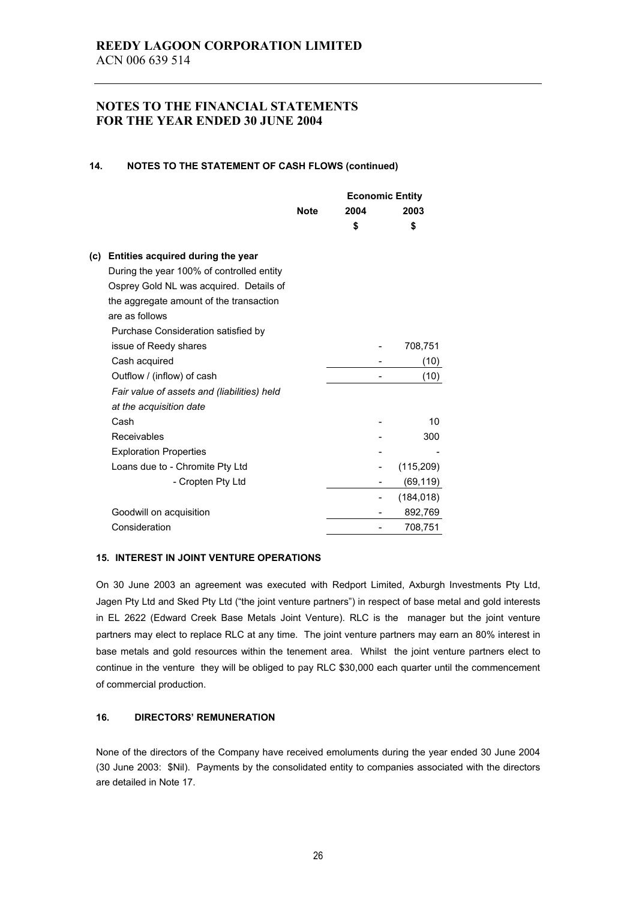#### **14. NOTES TO THE STATEMENT OF CASH FLOWS (continued)**

|     |                                             |             | <b>Economic Entity</b> |            |
|-----|---------------------------------------------|-------------|------------------------|------------|
|     |                                             | <b>Note</b> | 2004                   | 2003       |
|     |                                             |             | \$                     | \$         |
| (c) | Entities acquired during the year           |             |                        |            |
|     | During the year 100% of controlled entity   |             |                        |            |
|     | Osprey Gold NL was acquired. Details of     |             |                        |            |
|     | the aggregate amount of the transaction     |             |                        |            |
|     | are as follows                              |             |                        |            |
|     | Purchase Consideration satisfied by         |             |                        |            |
|     | issue of Reedy shares                       |             |                        | 708,751    |
|     | Cash acquired                               |             |                        | (10)       |
|     | Outflow / (inflow) of cash                  |             |                        | (10)       |
|     | Fair value of assets and (liabilities) held |             |                        |            |
|     |                                             |             |                        |            |
|     | at the acquisition date<br>Cash             |             |                        |            |
|     |                                             |             |                        | 10         |
|     | Receivables                                 |             |                        | 300        |
|     | <b>Exploration Properties</b>               |             |                        |            |
|     | Loans due to - Chromite Pty Ltd             |             |                        | (115, 209) |
|     | - Cropten Pty Ltd                           |             |                        | (69, 119)  |
|     |                                             |             |                        | (184, 018) |
|     | Goodwill on acquisition                     |             |                        | 892,769    |
|     | Consideration                               |             |                        | 708,751    |

#### **15. INTEREST IN JOINT VENTURE OPERATIONS**

On 30 June 2003 an agreement was executed with Redport Limited, Axburgh Investments Pty Ltd, Jagen Pty Ltd and Sked Pty Ltd ("the joint venture partners") in respect of base metal and gold interests in EL 2622 (Edward Creek Base Metals Joint Venture). RLC is the manager but the joint venture partners may elect to replace RLC at any time. The joint venture partners may earn an 80% interest in base metals and gold resources within the tenement area. Whilst the joint venture partners elect to continue in the venture they will be obliged to pay RLC \$30,000 each quarter until the commencement of commercial production.

#### **16. DIRECTORS' REMUNERATION**

None of the directors of the Company have received emoluments during the year ended 30 June 2004 (30 June 2003: \$Nil). Payments by the consolidated entity to companies associated with the directors are detailed in Note 17.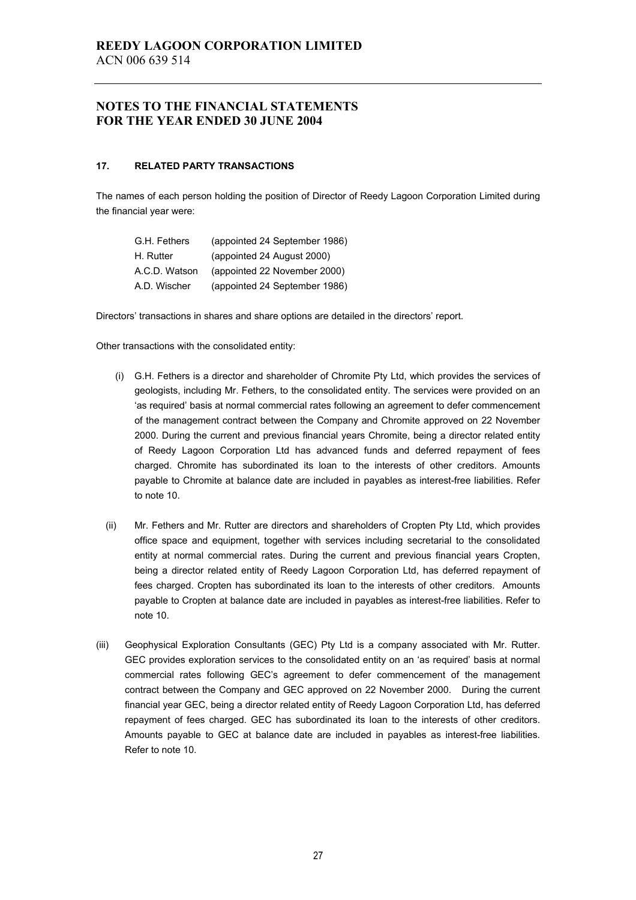#### **17. RELATED PARTY TRANSACTIONS**

The names of each person holding the position of Director of Reedy Lagoon Corporation Limited during the financial year were:

| G.H. Fethers  | (appointed 24 September 1986) |
|---------------|-------------------------------|
| H. Rutter     | (appointed 24 August 2000)    |
| A.C.D. Watson | (appointed 22 November 2000)  |
| A.D. Wischer  | (appointed 24 September 1986) |

Directors' transactions in shares and share options are detailed in the directors' report.

Other transactions with the consolidated entity:

- (i) G.H. Fethers is a director and shareholder of Chromite Pty Ltd, which provides the services of geologists, including Mr. Fethers, to the consolidated entity. The services were provided on an 'as required' basis at normal commercial rates following an agreement to defer commencement of the management contract between the Company and Chromite approved on 22 November 2000. During the current and previous financial years Chromite, being a director related entity of Reedy Lagoon Corporation Ltd has advanced funds and deferred repayment of fees charged. Chromite has subordinated its loan to the interests of other creditors. Amounts payable to Chromite at balance date are included in payables as interest-free liabilities. Refer to note 10.
- (ii) Mr. Fethers and Mr. Rutter are directors and shareholders of Cropten Pty Ltd, which provides office space and equipment, together with services including secretarial to the consolidated entity at normal commercial rates. During the current and previous financial years Cropten, being a director related entity of Reedy Lagoon Corporation Ltd, has deferred repayment of fees charged. Cropten has subordinated its loan to the interests of other creditors. Amounts payable to Cropten at balance date are included in payables as interest-free liabilities. Refer to note 10.
- (iii) Geophysical Exploration Consultants (GEC) Pty Ltd is a company associated with Mr. Rutter. GEC provides exploration services to the consolidated entity on an 'as required' basis at normal commercial rates following GEC's agreement to defer commencement of the management contract between the Company and GEC approved on 22 November 2000. During the current financial year GEC, being a director related entity of Reedy Lagoon Corporation Ltd, has deferred repayment of fees charged. GEC has subordinated its loan to the interests of other creditors. Amounts payable to GEC at balance date are included in payables as interest-free liabilities. Refer to note 10.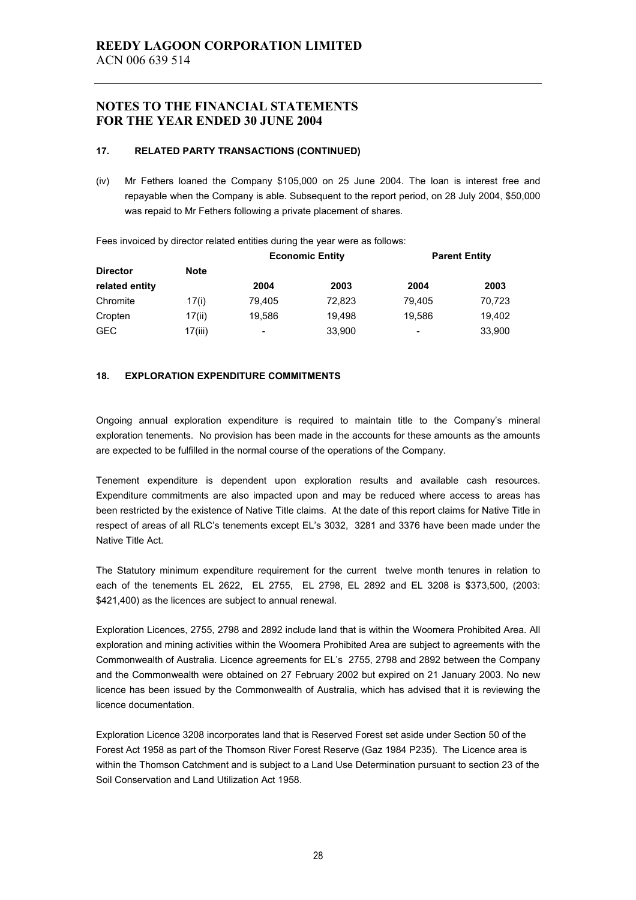#### **17. RELATED PARTY TRANSACTIONS (CONTINUED)**

(iv) Mr Fethers loaned the Company \$105,000 on 25 June 2004. The loan is interest free and repayable when the Company is able. Subsequent to the report period, on 28 July 2004, \$50,000 was repaid to Mr Fethers following a private placement of shares.

Fees invoiced by director related entities during the year were as follows:

|                 |             | <b>Economic Entity</b> |        | <b>Parent Entity</b>     |        |
|-----------------|-------------|------------------------|--------|--------------------------|--------|
| <b>Director</b> | <b>Note</b> |                        |        |                          |        |
| related entity  |             | 2004                   | 2003   | 2004                     | 2003   |
| Chromite        | 17(i)       | 79.405                 | 72,823 | 79.405                   | 70,723 |
| Cropten         | 17(ii)      | 19,586                 | 19.498 | 19,586                   | 19,402 |
| <b>GEC</b>      | 17(iii)     | -                      | 33,900 | $\overline{\phantom{a}}$ | 33,900 |

#### **18. EXPLORATION EXPENDITURE COMMITMENTS**

Ongoing annual exploration expenditure is required to maintain title to the Company's mineral exploration tenements. No provision has been made in the accounts for these amounts as the amounts are expected to be fulfilled in the normal course of the operations of the Company.

Tenement expenditure is dependent upon exploration results and available cash resources. Expenditure commitments are also impacted upon and may be reduced where access to areas has been restricted by the existence of Native Title claims. At the date of this report claims for Native Title in respect of areas of all RLC's tenements except EL's 3032, 3281 and 3376 have been made under the Native Title Act.

The Statutory minimum expenditure requirement for the current twelve month tenures in relation to each of the tenements EL 2622, EL 2755, EL 2798, EL 2892 and EL 3208 is \$373,500, (2003: \$421,400) as the licences are subject to annual renewal.

Exploration Licences, 2755, 2798 and 2892 include land that is within the Woomera Prohibited Area. All exploration and mining activities within the Woomera Prohibited Area are subject to agreements with the Commonwealth of Australia. Licence agreements for EL's 2755, 2798 and 2892 between the Company and the Commonwealth were obtained on 27 February 2002 but expired on 21 January 2003. No new licence has been issued by the Commonwealth of Australia, which has advised that it is reviewing the licence documentation.

Exploration Licence 3208 incorporates land that is Reserved Forest set aside under Section 50 of the Forest Act 1958 as part of the Thomson River Forest Reserve (Gaz 1984 P235). The Licence area is within the Thomson Catchment and is subject to a Land Use Determination pursuant to section 23 of the Soil Conservation and Land Utilization Act 1958.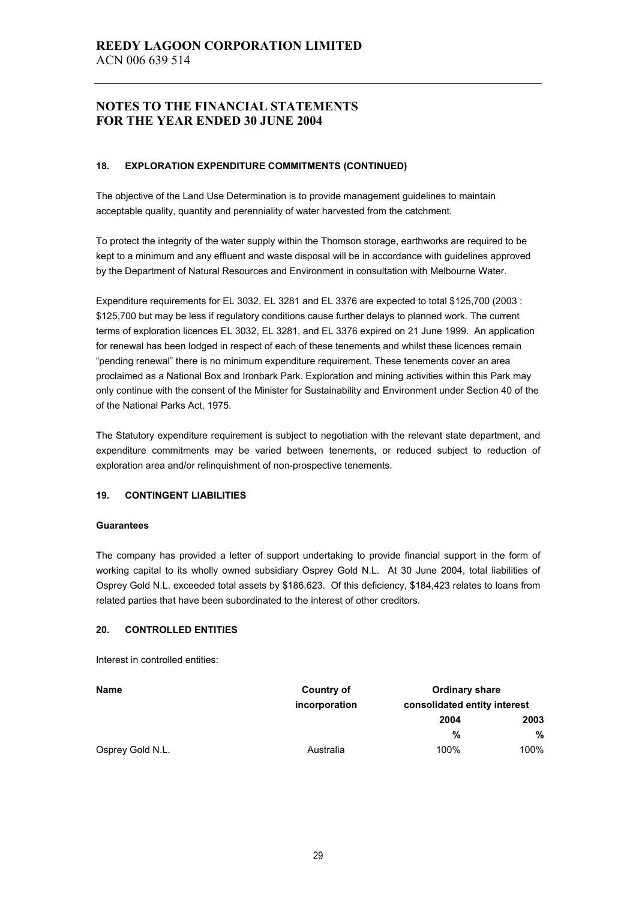#### **18. EXPLORATION EXPENDITURE COMMITMENTS (CONTINUED)**

The objective of the Land Use Determination is to provide management guidelines to maintain acceptable quality, quantity and perenniality of water harvested from the catchment.

To protect the integrity of the water supply within the Thomson storage, earthworks are required to be kept to a minimum and any effluent and waste disposal will be in accordance with guidelines approved by the Department of Natural Resources and Environment in consultation with Melbourne Water.

Expenditure requirements for EL 3032, EL 3281 and EL 3376 are expected to total \$125,700 (2003 : \$125,700 but may be less if regulatory conditions cause further delays to planned work. The current terms of exploration licences EL 3032, EL 3281, and EL 3376 expired on 21 June 1999. An application for renewal has been lodged in respect of each of these tenements and whilst these licences remain "pending renewal" there is no minimum expenditure requirement. These tenements cover an area proclaimed as a National Box and Ironbark Park. Exploration and mining activities within this Park may only continue with the consent of the Minister for Sustainability and Environment under Section 40 of the of the National Parks Act, 1975.

The Statutory expenditure requirement is subject to negotiation with the relevant state department, and expenditure commitments may be varied between tenements, or reduced subject to reduction of exploration area and/or relinquishment of non-prospective tenements.

#### **19. CONTINGENT LIABILITIES**

#### **Guarantees**

The company has provided a letter of support undertaking to provide financial support in the form of working capital to its wholly owned subsidiary Osprey Gold N.L. At 30 June 2004, total liabilities of Osprey Gold N.L. exceeded total assets by \$186,623. Of this deficiency, \$184,423 relates to loans from related parties that have been subordinated to the interest of other creditors.

#### **20. CONTROLLED ENTITIES**

Interest in controlled entities:

| <b>Name</b>      | Country of    | <b>Ordinary share</b><br>consolidated entity interest |      |  |
|------------------|---------------|-------------------------------------------------------|------|--|
|                  | incorporation |                                                       |      |  |
|                  |               | 2004                                                  | 2003 |  |
|                  |               | %                                                     | %    |  |
| Osprey Gold N.L. | Australia     | 100%                                                  | 100% |  |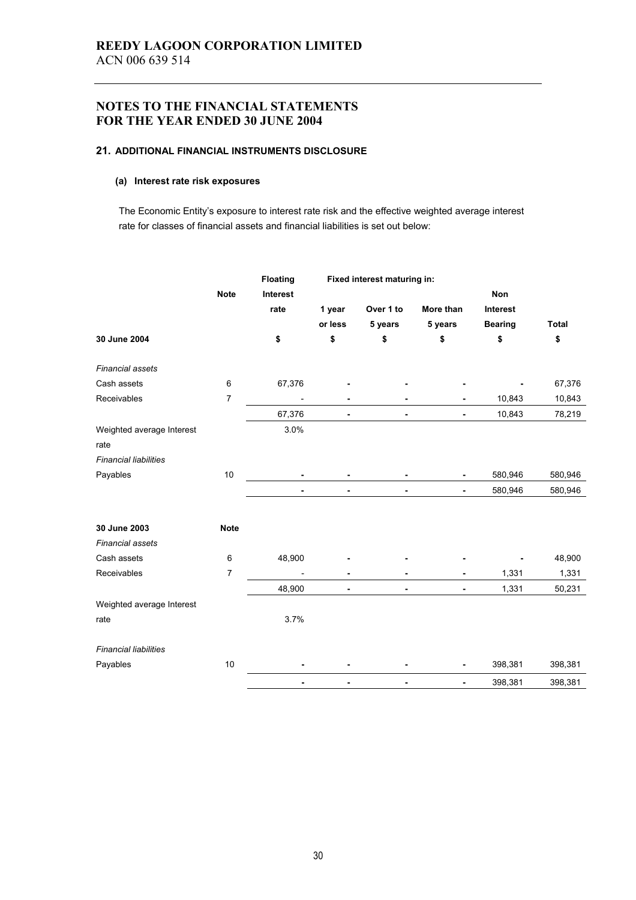#### **21. ADDITIONAL FINANCIAL INSTRUMENTS DISCLOSURE**

#### **(a) Interest rate risk exposures**

The Economic Entity's exposure to interest rate risk and the effective weighted average interest rate for classes of financial assets and financial liabilities is set out below:

|                              |                 | <b>Floating</b> |                | Fixed interest maturing in: |                |                |              |
|------------------------------|-----------------|-----------------|----------------|-----------------------------|----------------|----------------|--------------|
|                              | <b>Note</b>     | Interest        |                |                             |                | Non            |              |
|                              |                 | rate            | 1 year         | Over 1 to                   | More than      | Interest       |              |
|                              |                 |                 | or less        | 5 years                     | 5 years        | <b>Bearing</b> | <b>Total</b> |
| 30 June 2004                 |                 | \$              | \$             | \$                          | \$             | \$             | \$           |
| <b>Financial assets</b>      |                 |                 |                |                             |                |                |              |
| Cash assets                  | 6               | 67,376          |                |                             |                |                | 67,376       |
| Receivables                  | 7               |                 |                |                             |                | 10,843         | 10,843       |
|                              |                 | 67,376          |                | $\blacksquare$              | ۰              | 10,843         | 78,219       |
| Weighted average Interest    |                 | 3.0%            |                |                             |                |                |              |
| rate                         |                 |                 |                |                             |                |                |              |
| <b>Financial liabilities</b> |                 |                 |                |                             |                |                |              |
| Payables                     | 10              |                 |                |                             |                | 580,946        | 580,946      |
|                              |                 | $\blacksquare$  | $\blacksquare$ | $\blacksquare$              | ٠              | 580,946        | 580,946      |
| 30 June 2003                 | <b>Note</b>     |                 |                |                             |                |                |              |
| <b>Financial assets</b>      |                 |                 |                |                             |                |                |              |
| Cash assets                  | $6\phantom{1}6$ | 48,900          |                |                             |                |                | 48,900       |
| Receivables                  | 7               |                 | $\blacksquare$ | $\blacksquare$              |                | 1,331          | 1,331        |
|                              |                 | 48,900          | $\blacksquare$ | $\blacksquare$              | $\blacksquare$ | 1,331          | 50,231       |
| Weighted average Interest    |                 |                 |                |                             |                |                |              |
| rate                         |                 | 3.7%            |                |                             |                |                |              |
| <b>Financial liabilities</b> |                 |                 |                |                             |                |                |              |
| Payables                     | 10              |                 |                |                             |                | 398,381        | 398,381      |
|                              |                 |                 |                | ÷                           | ۰              | 398,381        | 398,381      |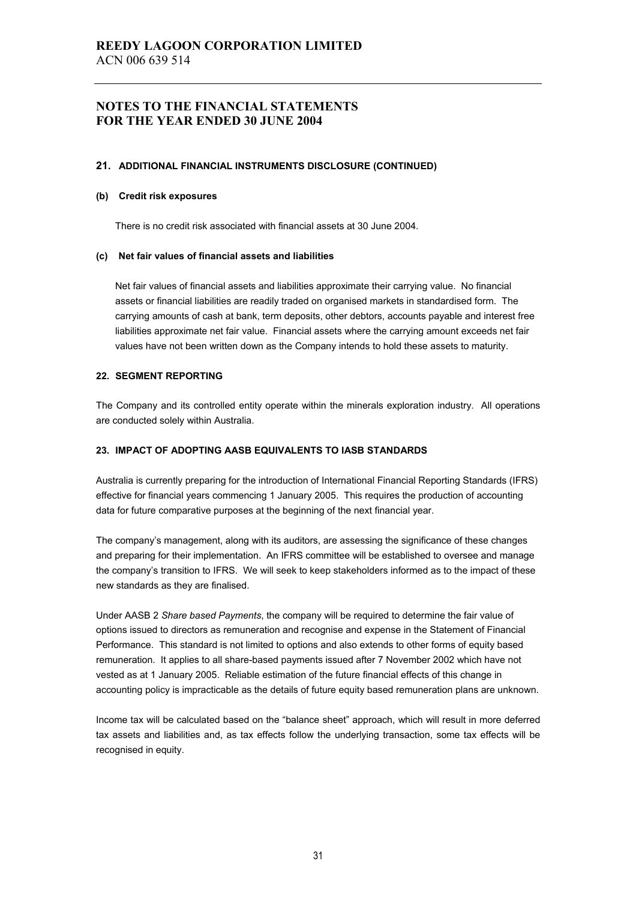#### **21. ADDITIONAL FINANCIAL INSTRUMENTS DISCLOSURE (CONTINUED)**

#### **(b) Credit risk exposures**

There is no credit risk associated with financial assets at 30 June 2004.

#### **(c) Net fair values of financial assets and liabilities**

Net fair values of financial assets and liabilities approximate their carrying value. No financial assets or financial liabilities are readily traded on organised markets in standardised form. The carrying amounts of cash at bank, term deposits, other debtors, accounts payable and interest free liabilities approximate net fair value. Financial assets where the carrying amount exceeds net fair values have not been written down as the Company intends to hold these assets to maturity.

#### **22. SEGMENT REPORTING**

The Company and its controlled entity operate within the minerals exploration industry. All operations are conducted solely within Australia.

#### **23. IMPACT OF ADOPTING AASB EQUIVALENTS TO IASB STANDARDS**

Australia is currently preparing for the introduction of International Financial Reporting Standards (IFRS) effective for financial years commencing 1 January 2005. This requires the production of accounting data for future comparative purposes at the beginning of the next financial year.

The company's management, along with its auditors, are assessing the significance of these changes and preparing for their implementation. An IFRS committee will be established to oversee and manage the company's transition to IFRS. We will seek to keep stakeholders informed as to the impact of these new standards as they are finalised.

Under AASB 2 *Share based Payments*, the company will be required to determine the fair value of options issued to directors as remuneration and recognise and expense in the Statement of Financial Performance. This standard is not limited to options and also extends to other forms of equity based remuneration. It applies to all share-based payments issued after 7 November 2002 which have not vested as at 1 January 2005. Reliable estimation of the future financial effects of this change in accounting policy is impracticable as the details of future equity based remuneration plans are unknown.

Income tax will be calculated based on the "balance sheet" approach, which will result in more deferred tax assets and liabilities and, as tax effects follow the underlying transaction, some tax effects will be recognised in equity.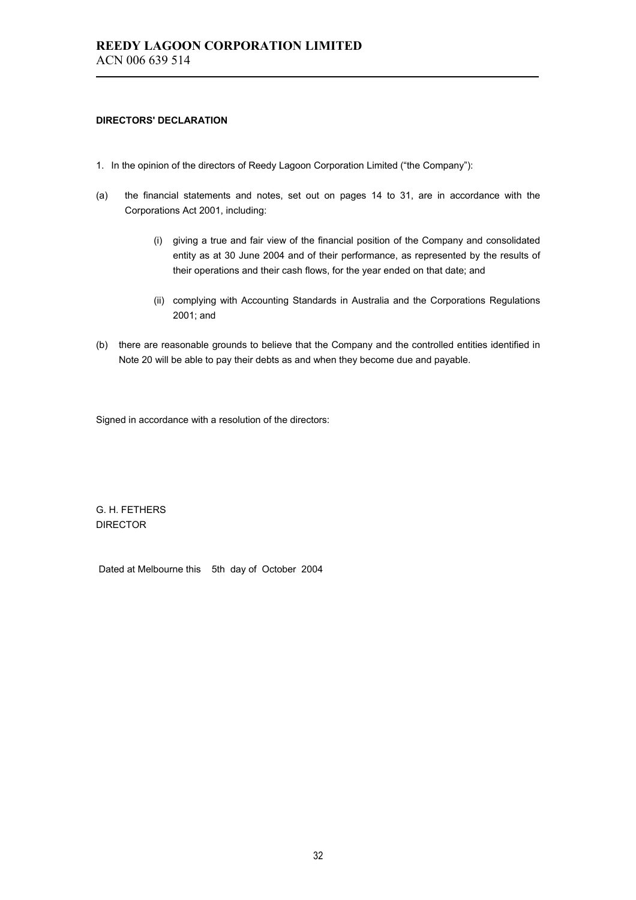#### **DIRECTORS' DECLARATION**

- 1. In the opinion of the directors of Reedy Lagoon Corporation Limited ("the Company"):
- (a) the financial statements and notes, set out on pages 14 to 31, are in accordance with the Corporations Act 2001, including:
	- (i) giving a true and fair view of the financial position of the Company and consolidated entity as at 30 June 2004 and of their performance, as represented by the results of their operations and their cash flows, for the year ended on that date; and
	- (ii) complying with Accounting Standards in Australia and the Corporations Regulations 2001; and
- (b) there are reasonable grounds to believe that the Company and the controlled entities identified in Note 20 will be able to pay their debts as and when they become due and payable.

Signed in accordance with a resolution of the directors:

G. H. FETHERS DIRECTOR

Dated at Melbourne this 5th day of October 2004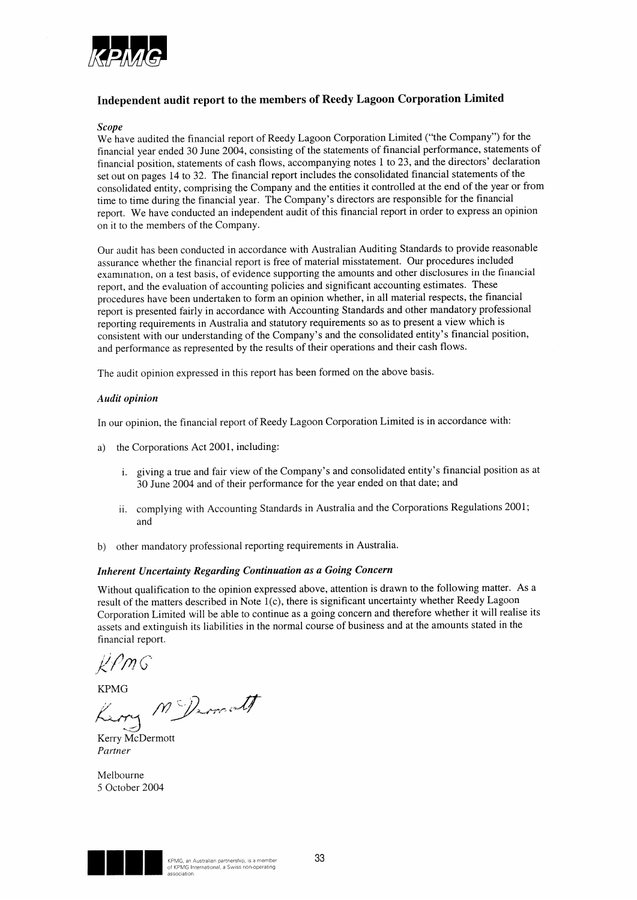

## Independent audit report to the members of Reedy Lagoon Corporation Limited

#### **Scope**

We have audited the financial report of Reedy Lagoon Corporation Limited ("the Company") for the financial year ended 30 June 2004, consisting of the statements of financial performance, statements of financial position, statements of cash flows, accompanying notes 1 to 23, and the directors' declaration set out on pages 14 to 32. The financial report includes the consolidated financial statements of the consolidated entity, comprising the Company and the entities it controlled at the end of the year or from time to time during the financial year. The Company's directors are responsible for the financial report. We have conducted an independent audit of this financial report in order to express an opinion on it to the members of the Company.

Our audit has been conducted in accordance with Australian Auditing Standards to provide reasonable assurance whether the financial report is free of material misstatement. Our procedures included examination, on a test basis, of evidence supporting the amounts and other disclosures in the financial report, and the evaluation of accounting policies and significant accounting estimates. These procedures have been undertaken to form an opinion whether, in all material respects, the financial report is presented fairly in accordance with Accounting Standards and other mandatory professional reporting requirements in Australia and statutory requirements so as to present a view which is consistent with our understanding of the Company's and the consolidated entity's financial position, and performance as represented by the results of their operations and their cash flows.

The audit opinion expressed in this report has been formed on the above basis.

#### Audit opinion

In our opinion, the financial report of Reedy Lagoon Corporation Limited is in accordance with:

- the Corporations Act 2001, including: a)
	- i. giving a true and fair view of the Company's and consolidated entity's financial position as at 30 June 2004 and of their performance for the year ended on that date; and
	- ii. complying with Accounting Standards in Australia and the Corporations Regulations 2001; and
- b) other mandatory professional reporting requirements in Australia.

#### Inherent Uncertainty Regarding Continuation as a Going Concern

Without qualification to the opinion expressed above, attention is drawn to the following matter. As a result of the matters described in Note 1(c), there is significant uncertainty whether Reedy Lagoon Corporation Limited will be able to continue as a going concern and therefore whether it will realise its assets and extinguish its liabilities in the normal course of business and at the amounts stated in the financial report.

KPMG

KPMG<br>King M Dimett

Kerry McDermott Partner

Melbourne 5 October 2004